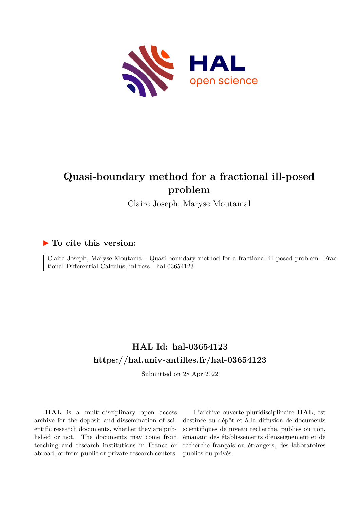

# **Quasi-boundary method for a fractional ill-posed problem**

Claire Joseph, Maryse Moutamal

# **To cite this version:**

Claire Joseph, Maryse Moutamal. Quasi-boundary method for a fractional ill-posed problem. Fractional Differential Calculus, inPress. hal-03654123

# **HAL Id: hal-03654123 <https://hal.univ-antilles.fr/hal-03654123>**

Submitted on 28 Apr 2022

**HAL** is a multi-disciplinary open access archive for the deposit and dissemination of scientific research documents, whether they are published or not. The documents may come from teaching and research institutions in France or abroad, or from public or private research centers.

L'archive ouverte pluridisciplinaire **HAL**, est destinée au dépôt et à la diffusion de documents scientifiques de niveau recherche, publiés ou non, émanant des établissements d'enseignement et de recherche français ou étrangers, des laboratoires publics ou privés.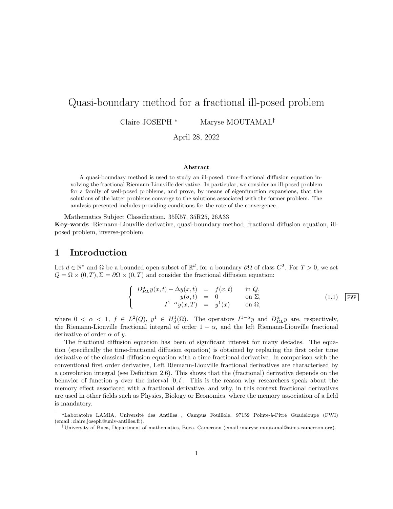# Quasi-boundary method for a fractional ill-posed problem

Claire JOSEPH \* Maryse MOUTAMAL<sup>†</sup>

April 28, 2022

#### Abstract

A quasi-boundary method is used to study an ill-posed, time-fractional diffusion equation involving the fractional Riemann-Liouville derivative. In particular, we consider an ill-posed problem for a family of well-posed problems, and prove, by means of eigenfunction expansions, that the solutions of the latter problems converge to the solutions associated with the former problem. The analysis presented includes providing conditions for the rate of the convergence.

Mathematics Subject Classification. 35K57, 35R25, 26A33

Key-words :Riemann-Liouville derivative, quasi-boundary method, fractional diffusion equation, illposed problem, inverse-problem

### 1 Introduction

Let  $d \in \mathbb{N}^*$  and  $\Omega$  be a bounded open subset of  $\mathbb{R}^d$ , for a boundary  $\partial\Omega$  of class  $C^2$ . For  $T > 0$ , we set  $Q = \Omega \times (0, T), \Sigma = \partial \Omega \times (0, T)$  and consider the fractional diffusion equation:

$$
\begin{cases}\nD_{RL}^{\alpha}y(x,t) - \Delta y(x,t) &= f(x,t) \quad \text{in } Q, \\
y(\sigma, t) &= 0 \quad \text{on } \Sigma, \\
I^{1-\alpha}y(x,T) &= y^1(x) \quad \text{on } \Omega,\n\end{cases}
$$
\n(1.1) [FVP]

where  $0 < \alpha < 1$ ,  $f \in L^2(Q)$ ,  $y^1 \in H_0^1(\Omega)$ . The operators  $I^{1-\alpha}y$  and  $D_{RL}^{\alpha}y$  are, respectively, the Riemann-Liouville fractional integral of order  $1 - \alpha$ , and the left Riemann-Liouville fractional derivative of order  $\alpha$  of y.

The fractional diffusion equation has been of significant interest for many decades. The equation (specifically the time-fractional diffusion equation) is obtained by replacing the first order time derivative of the classical diffusion equation with a time fractional derivative. In comparison with the conventional first order derivative, Left Riemann-Liouville fractional derivatives are characterised by a convolution integral (see Definition 2.6). This shows that the (fractional) derivative depends on the behavior of function y over the interval  $[0, t]$ . This is the reason why researchers speak about the memory effect associated with a fractional derivative, and why, in this context fractional derivatives are used in other fields such as Physics, Biology or Economics, where the memory association of a field is mandatory.

<sup>\*</sup>Laboratoire LAMIA, Université des Antilles , Campus Fouillole, 97159 Pointe-à-Pitre Guadeloupe (FWI) (email :claire.joseph@univ-antilles.fr).

University of Buea, Department of mathematics, Buea, Cameroon (email :maryse.moutamal@aims-cameroon.org).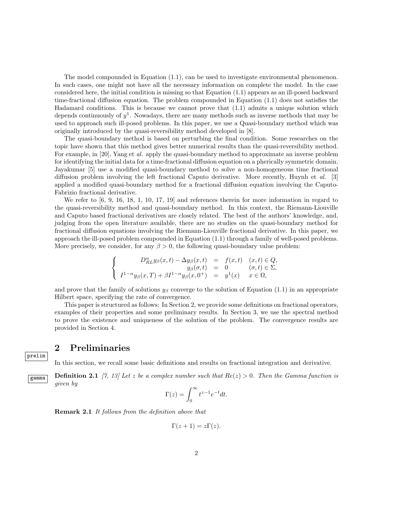The model compounded in Equation (1.1), can be used to investigate environmental phenomenon. In such cases, one might not have all the necessary information on complete the model. In the case considered here, the initial condition is missing so that Equation (1.1) appears as an ill-posed backward time-fractional diffusion equation. The problem compounded in Equation (1.1) does not satisfies the Hadamard conditions. This is because we cannot prove that (1.1) admits a unique solution which depends continuously of  $y^1$ . Nowadays, there are many methods such as inverse methods that may be used to approach such ill-posed problems. In this paper, we use a Quasi-boundary method which was originally introduced by the quasi-reversibility method developed in [8].

The quasi-boundary method is based on perturbing the final condition. Some researches on the topic have shown that this method gives better numerical results than the quasi-reversibility method. For example, in [20], Yang et al. apply the quasi-boundary method to approximate an inverse problem for identifying the initial data for a time-fractional diffusion equation on a pherically symmetric domain. Jayakumar [5] use a modified quasi-boundary method to solve a non-homogeneous time fractional diffusion problem involving the left fractional Caputo derivative. More recently, Huynh et al. [3] applied a modified quasi-boundary method for a fractional diffusion equation involving the Caputo-Fabrizio fractional derivative.

We refer to  $[6, 9, 16, 18, 1, 10, 17, 19]$  and references therein for more information in regard to the quasi-reversibility method and quasi-boundary method. In this context, the Riemann-Liouville and Caputo based fractional derivatives are closely related. The best of the authors' knowledge, and, judging from the open literature available, there are no studies on the quasi-boundary method for fractional diffusion equations involving the Riemann-Liouville fractional derivative. In this paper, we approach the ill-posed problem compounded in Equation (1.1) through a family of well-posed problems. More precisely, we consider, for any  $\beta > 0$ , the following quasi-boundary value problem:

$$
\begin{cases}\nD_{RL}^{\alpha}y_{\beta}(x,t) - \Delta y_{\beta}(x,t) &= f(x,t) & (x,t) \in Q, \\
y_{\beta}(\sigma,t) &= 0 & (\sigma,t) \in \Sigma, \\
I^{1-\alpha}y_{\beta}(x,T) + \beta I^{1-\alpha}y_{\beta}(x,0^{+}) &= y^{1}(x) & x \in \Omega,\n\end{cases}
$$

and prove that the family of solutions  $y_\beta$  converge to the solution of Equation (1.1) in an appropriate Hilbert space, specifying the rate of convergence.

This paper is structured as follows: In Section 2, we provide some definitions on fractional operators, examples of their properties and some preliminary results. In Section 3, we use the spectral method to prove the existence and uniqueness of the solution of the problem. The convergence results are provided in Section 4.

### 2 Preliminaries

prelim

In this section, we recall some basic definitions and results on fractional integration and derivative.

**Definition 2.1** [7, 13] Let z be a complex number such that  $Re(z) > 0$ . Then the Gamma function is given by

$$
\Gamma(z) = \int_0^\infty t^{z-1} e^{-t} dt.
$$

Remark 2.1 It follows from the definition above that

$$
\Gamma(z+1) = z\Gamma(z).
$$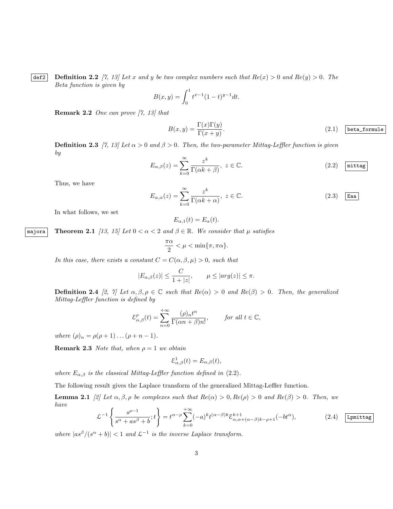def2 Definition 2.2 [7, 13] Let x and y be two complex numbers such that  $Re(x) > 0$  and  $Re(y) > 0$ . The Beta function is given by

$$
B(x,y) = \int_0^1 t^{x-1} (1-t)^{y-1} dt.
$$

**Remark 2.2** One can prove  $(7, 13)$  that

$$
B(x,y) = \frac{\Gamma(x)\Gamma(y)}{\Gamma(x+y)}.
$$
\n(2.1) beta-formule

**Definition 2.3** [7, 13] Let  $\alpha > 0$  and  $\beta > 0$ . Then, the two-parameter Mittag-Leffler function is given by

$$
E_{\alpha,\beta}(z) = \sum_{k=0}^{\infty} \frac{z^k}{\Gamma(\alpha k + \beta)}, \ z \in \mathbb{C}.
$$
 (2.2)  $\boxed{\text{mittag}}$ 

Thus, we have

$$
E_{\alpha,\alpha}(z) = \sum_{k=0}^{\infty} \frac{z^k}{\Gamma(\alpha k + \alpha)}, \ z \in \mathbb{C}.
$$
 (2.3)  $\boxed{\text{Eaa}}$ 

In what follows, we set

$$
E_{\alpha,1}(t) = E_{\alpha}(t).
$$

majora Theorem 2.1 [13, 15] Let  $0 < \alpha < 2$  and  $\beta \in \mathbb{R}$ . We consider that  $\mu$  satisfies

$$
\frac{\pi\alpha}{2}<\mu<\min\{\pi,\pi\alpha\}.
$$

In this case, there exists a constant  $C = C(\alpha, \beta, \mu) > 0$ , such that

$$
|E_{\alpha,\beta}(z)| \le \frac{C}{1+|z|}, \qquad \mu \le |arg(z)| \le \pi.
$$

**Definition 2.4** [2, 7] Let  $\alpha, \beta, \rho \in \mathbb{C}$  such that  $Re(\alpha) > 0$  and  $Re(\beta) > 0$ . Then, the generalized Mittag-Leffler function is defined by

$$
\mathcal{E}^{\rho}_{\alpha,\beta}(t) = \sum_{n=0}^{+\infty} \frac{(\rho)_n t^n}{\Gamma(\alpha n + \beta)n!}, \quad \text{for all } t \in \mathbb{C},
$$

where  $(\rho)_n = \rho(\rho + 1) \dots (\rho + n - 1)$ .

**Remark 2.3** Note that, when  $\rho = 1$  we obtain

$$
\mathcal{E}_{\alpha,\beta}^{1}(t) = E_{\alpha,\beta}(t),
$$

where  $E_{\alpha,\beta}$  is the classical Mittag-Leffler function defined in (2.2).

The following result gives the Laplace transform of the generalized Mittag-Leffler function.

**Lemma 2.1** [2] Let  $\alpha, \beta, \rho$  be complexes such that  $Re(\alpha) > 0, Re(\rho) > 0$  and  $Re(\beta) > 0$ . Then, we have

$$
\mathcal{L}^{-1}\left\{\frac{s^{\rho-1}}{s^{\alpha}+as^{\beta}+b};t\right\} = t^{\alpha-\rho}\sum_{k=0}^{+\infty}(-a)^{k}t^{(\alpha-\beta)k}\mathcal{E}_{\alpha,\alpha+(\alpha-\beta)k-\rho+1}^{k+1}(-bt^{\alpha}),\tag{2.4}
$$
  $\boxed{\text{Ipmittag}}$ 

where  $|as^{\beta}/(s^{\alpha}+b)| < 1$  and  $\mathcal{L}^{-1}$  is the inverse Laplace transform.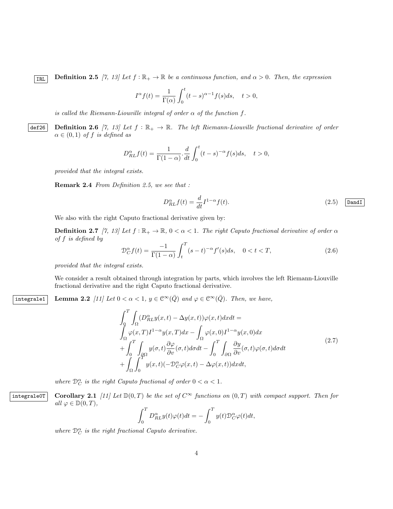**IRL** Definition 2.5 [7, 13] Let  $f : \mathbb{R}_+ \to \mathbb{R}$  be a continuous function, and  $\alpha > 0$ . Then, the expression

$$
I^{\alpha}f(t) = \frac{1}{\Gamma(\alpha)} \int_0^t (t-s)^{\alpha-1} f(s)ds, \quad t > 0,
$$

is called the Riemann-Liouville integral of order  $\alpha$  of the function f.

def26 Definition 2.6 [7, 13] Let  $f : \mathbb{R}_+ \to \mathbb{R}$ . The left Riemann-Liouville fractional derivative of order  $\alpha \in (0,1)$  of f is defined as

$$
D_{RL}^{\alpha}f(t) = \frac{1}{\Gamma(1-\alpha)} \cdot \frac{d}{dt} \int_0^t (t-s)^{-\alpha} f(s)ds, \quad t > 0,
$$

provided that the integral exists.

Remark 2.4 From Definition 2.5, we see that :

$$
D_{RL}^{\alpha} f(t) = \frac{d}{dt} I^{1-\alpha} f(t).
$$
 (2.5)  $\boxed{\text{DandI}}$ 

We also with the right Caputo fractional derivative given by:

**Definition 2.7** [7, 13] Let  $f : \mathbb{R}_+ \to \mathbb{R}$ ,  $0 < \alpha < 1$ . The right Caputo fractional derivative of order  $\alpha$ of f is defined by

$$
\mathcal{D}_C^{\alpha} f(t) = \frac{-1}{\Gamma(1-\alpha)} \int_t^T (s-t)^{-\alpha} f'(s) ds, \quad 0 < t < T,
$$
\n(2.6)

provided that the integral exists.

We consider a result obtained through integration by parts, which involves the left Riemann-Liouville fractional derivative and the right Caputo fractional derivative.

integrale1 Lemma 2.2 [11] Let  $0 < \alpha < 1$ ,  $y \in \mathbb{C}^{\infty}(\overline{Q})$  and  $\varphi \in \mathbb{C}^{\infty}(\overline{Q})$ . Then, we have,

$$
\int_{0}^{T} \int_{\Omega} (D_{RL}^{\alpha} y(x,t) - \Delta y(x,t)) \varphi(x,t) dx dt =
$$
\n
$$
\int_{\Omega} \varphi(x,T) I^{1-\alpha} y(x,T) dx - \int_{\Omega} \varphi(x,0) I^{1-\alpha} y(x,0) dx
$$
\n
$$
+ \int_{0}^{T} \int_{\partial \Omega} y(\sigma,t) \frac{\partial \varphi}{\partial v}(\sigma,t) d\sigma dt - \int_{0}^{T} \int_{\partial \Omega} \frac{\partial y}{\partial v}(\sigma,t) \varphi(\sigma,t) d\sigma dt
$$
\n
$$
+ \int_{\Omega} \int_{0}^{T} y(x,t) (-\mathcal{D}_{C}^{\alpha} \varphi(x,t) - \Delta \varphi(x,t)) dx dt,
$$
\n(2.7)

where  $\mathcal{D}_{C}^{\alpha}$  is the right Caputo fractional of order  $0 < \alpha < 1$ .

integrale0T Corollary 2.1 [11] Let  $\mathbb{D}(0,T)$  be the set of  $C^{\infty}$  functions on  $(0,T)$  with compact support. Then for all  $\varphi \in \mathbb{D}(0,T)$ ,

$$
\int_0^T D_{RL}^{\alpha} y(t)\varphi(t)dt = -\int_0^T y(t)\mathcal{D}_C^{\alpha}\varphi(t)dt,
$$

where  $\mathcal{D}_{C}^{\alpha}$  is the right fractional Caputo derivative.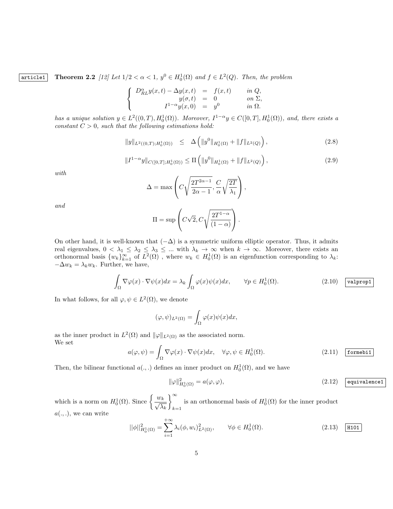article1 Theorem 2.2 [12] Let  $1/2 < \alpha < 1$ ,  $y^0 \in H_0^1(\Omega)$  and  $f \in L^2(Q)$ . Then, the problem

$$
\begin{cases}\nD_{RL}^{\alpha}y(x,t) - \Delta y(x,t) &= f(x,t) & \text{in } Q, \\
y(\sigma, t) &= 0 & \text{on } \Sigma, \\
I^{1-\alpha}y(x,0) &= y^0 & \text{in } \Omega.\n\end{cases}
$$

has a unique solution  $y \in L^2((0,T), H_0^1(\Omega))$ . Moreover,  $I^{1-\alpha}y \in C([0,T], H_0^1(\Omega))$ , and, there exists a constant  $C > 0$ , such that the following estimations hold:

$$
||y||_{L^{2}((0,T);H_{0}^{1}(\Omega))} \leq \Delta \left(||y^{0}||_{H_{0}^{1}(\Omega)} + ||f||_{L^{2}(Q)}\right),
$$
\n(2.8)

$$
||I^{1-\alpha}y||_{C([0,T];H_0^1(\Omega))} \le \Pi \left( ||y^0||_{H_0^1(\Omega)} + ||f||_{L^2(Q)} \right),
$$
\n(2.9)

with

$$
\Delta = \max \left( C \sqrt{\frac{2T^{2\alpha - 1}}{2\alpha - 1}}, \frac{C}{\alpha} \sqrt{\frac{2T}{\lambda_1}} \right),
$$

and

$$
\Pi = \sup \left( C\sqrt{2}, C\sqrt{\frac{2T^{1-\alpha}}{(1-\alpha)}} \right).
$$

On other hand, it is well-known that  $(-\Delta)$  is a symmetric uniform elliptic operator. Thus, it admits real eigenvalues,  $0 < \lambda_1 \leq \lambda_2 \leq \lambda_3 \leq ...$  with  $\lambda_k \to \infty$  when  $k \to \infty$ . Moreover, there exists an orthonormal basis  $\{w_k\}_{k=1}^{\infty}$  of  $L^2(\Omega)$ , where  $w_k \in H_0^1(\Omega)$  is an eigenfunction corresponding to  $\lambda_k$ :  $-\Delta w_k = \lambda_k w_k$ . Further, we have,

$$
\int_{\Omega} \nabla \varphi(x) \cdot \nabla \psi(x) dx = \lambda_k \int_{\Omega} \varphi(x) \psi(x) dx, \qquad \forall p \in H_0^1(\Omega). \tag{2.10}
$$

In what follows, for all  $\varphi, \psi \in L^2(\Omega)$ , we denote

$$
(\varphi, \psi)_{L^2(\Omega)} = \int_{\Omega} \varphi(x) \psi(x) dx,
$$

as the inner product in  $L^2(\Omega)$  and  $\|\varphi\|_{L^2(\Omega)}$  as the associated norm. We set

$$
a(\varphi, \psi) = \int_{\Omega} \nabla \varphi(x) \cdot \nabla \psi(x) dx, \quad \forall \varphi, \psi \in H_0^1(\Omega). \tag{2.11}
$$
 **formebi1**

Then, the bilinear functional  $a(.,.)$  defines an inner product on  $H_0^1(\Omega)$ , and we have

$$
\|\varphi\|_{H_0^1(\Omega)}^2 = a(\varphi, \varphi),\tag{2.12}
$$
 **equivalence1**

which is a norm on  $H_0^1(\Omega)$ . Since  $\left\{\frac{w_k}{\sqrt{\lambda_k}}\right\}$  $\big)$ <sup>∞</sup>  $k=1$ is an orthonormal basis of  $H_0^1(\Omega)$  for the inner product  $a(.,.),$  we can write

$$
||\phi||_{H_0^1(\Omega)}^2 = \sum_{i=1}^{+\infty} \lambda_i (\phi, w_i)_{L^2(\Omega)}^2, \qquad \forall \phi \in H_0^1(\Omega).
$$
 (2.13) [H101]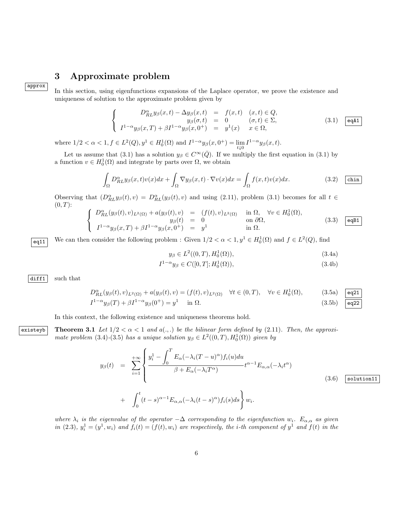# 3 Approximate problem

approx

In this section, using eigenfunctions expansions of the Laplace operator, we prove the existence and uniqueness of solution to the approximate problem given by

$$
\begin{cases}\nD_{RL}^{\alpha}y_{\beta}(x,t) - \Delta y_{\beta}(x,t) & = & f(x,t) \quad (x,t) \in Q, \\
y_{\beta}(\sigma, t) & = & 0 \quad (\sigma, t) \in \Sigma, \\
I^{1-\alpha}y_{\beta}(x,T) + \beta I^{1-\alpha}y_{\beta}(x,0^{+}) & = & y^{1}(x) \quad x \in \Omega,\n\end{cases}
$$
\n(3.1)  $\boxed{\text{eqA1}}$ 

where  $1/2 < \alpha < 1, f \in L^2(Q), y^1 \in H_0^1(\Omega)$  and  $I^{1-\alpha}y_{\beta}(x, 0^+) = \lim_{t \downarrow 0} I^{1-\alpha}y_{\beta}(x, t)$ .

Let us assume that (3.1) has a solution  $y_\beta \in C^\infty(\overline{Q})$ . If we multiply the first equation in (3.1) by a function  $v \in H_0^1(\Omega)$  and integrate by parts over  $\Omega$ , we obtain

$$
\int_{\Omega} D_{RL}^{\alpha} y_{\beta}(x,t)v(x)dx + \int_{\Omega} \nabla y_{\beta}(x,t) \cdot \nabla v(x)dx = \int_{\Omega} f(x,t)v(x)dx.
$$
\n(3.2) chin

Observing that  $(D_{RL}^{\alpha} y_{\beta}(t), v) = D_{RL}^{\alpha}(y_{\beta}(t), v)$  and using (2.11), problem (3.1) becomes for all  $t \in$  $(0, T)$ :

$$
\begin{cases}\nD_{RL}^{\alpha}(y_{\beta}(t), v)_{L^{2}(\Omega)} + a(y_{\beta}(t), v) &= (f(t), v)_{L^{2}(\Omega)} \quad \text{in } \Omega, \quad \forall v \in H_{0}^{1}(\Omega), \\
y_{\beta}(t) &= 0 \quad \text{on } \partial\Omega, \\
I^{1-\alpha}y_{\beta}(x, T) + \beta I^{1-\alpha}y_{\beta}(x, 0^{+}) &= y^{1} \quad \text{in } \Omega.\n\end{cases}\n\tag{3.3}
$$

 $\overline{eq11}$  We can then consider the following problem : Given  $1/2 < \alpha < 1, y^1 \in H_0^1(\Omega)$  and  $f \in L^2(Q)$ , find

$$
y_{\beta} \in L^{2}((0, T), H_0^1(\Omega)), \tag{3.4a}
$$

$$
I^{1-\alpha}y_{\beta} \in C([0,T]; H_0^1(\Omega)), \tag{3.4b}
$$

 $diff1$  such that

$$
D_{RL}^{\alpha}(y_{\beta}(t),v)_{L^{2}(\Omega)} + a(y_{\beta}(t),v) = (f(t),v)_{L^{2}(\Omega)} \quad \forall t \in (0,T), \quad \forall v \in H_{0}^{1}(\Omega), \tag{3.5a}
$$

$$
I^{1-\alpha}y_{\beta}(T) + \beta I^{1-\alpha}y_{\beta}(0^{+}) = y^{1} \quad \text{in } \Omega.
$$

$$
(3.5b)
$$

In this context, the following existence and uniqueness theorems hold.

existeyb Theorem 3.1 Let  $1/2 < \alpha < 1$  and  $a(.,.)$  be the bilinear form defined by (2.11). Then, the approximate problem (3.4)-(3.5) has a unique solution  $y_{\beta} \in L^2((0,T), H_0^1(\Omega))$  given by

$$
y_{\beta}(t) = \sum_{i=1}^{+\infty} \left\{ \frac{y_i^1 - \int_0^T E_{\alpha}(-\lambda_i(T-u)^{\alpha}) f_i(u) du}{\beta + E_{\alpha}(-\lambda_i T^{\alpha})} t^{\alpha - 1} E_{\alpha,\alpha}(-\lambda_i t^{\alpha}) + \int_0^t (t-s)^{\alpha - 1} E_{\alpha,\alpha}(-\lambda_i (t-s)^{\alpha}) f_i(s) ds \right\} w_i.
$$
\n(3.6) 
$$
\boxed{\text{solution11}}
$$

where  $\lambda_i$  is the eigenvalue of the operator  $-\Delta$  corresponding to the eigenfunction  $w_i$ .  $E_{\alpha,\alpha}$  as given in (2.3),  $y_i^1 = (y^1, w_i)$  and  $f_i(t) = (f(t), w_i)$  are respectively, the *i*-th component of  $y^1$  and  $f(t)$  in the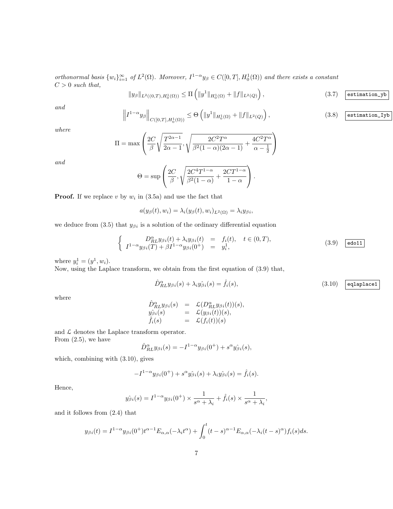orthonormal basis  $\{w_i\}_{i=1}^{\infty}$  of  $L^2(\Omega)$ . Moreover,  $I^{1-\alpha}y_{\beta} \in C([0,T], H_0^1(\Omega))$  and there exists a constant  $C > 0$  such that,

$$
||y_{\beta}||_{L^{2}((0,T),H_{0}^{1}(\Omega))} \leq \Pi \left( ||y^{1}||_{H_{0}^{1}(\Omega)} + ||f||_{L^{2}(Q)} \right),
$$
\n(3.7) estimation\_yb

and

$$
\left\| I^{1-\alpha} y_{\beta} \right\|_{C([0,T],H_0^1(\Omega))} \leq \Theta \left( \|y^1\|_{H_0^1(\Omega)} + \|f\|_{L^2(Q)} \right),\tag{3.8}
$$
  $\boxed{\text{estimation\_Iyb}}$ 

where

$$
\Pi = \max \left( \frac{2C}{\beta} \sqrt{\frac{T^{2\alpha - 1}}{2\alpha - 1}}, \sqrt{\frac{2C^2 T^{\alpha}}{\beta^2 (1 - \alpha)(2\alpha - 1)} + \frac{4C^2 T^{\alpha}}{\alpha - \frac{1}{2}}} \right)
$$

and

$$
\Theta = \sup \left( \frac{2C}{\beta}, \sqrt{\frac{2C^4 T^{1-\alpha}}{\beta^2 (1-\alpha)} + \frac{2CT^{1-\alpha}}{1-\alpha}} \right).
$$

**Proof.** If we replace v by  $w_i$  in (3.5a) and use the fact that

$$
a(y_{\beta}(t), w_i) = \lambda_i(y_{\beta}(t), w_i)_{L^2(\Omega)} = \lambda_i y_{\beta i},
$$

we deduce from (3.5) that  $y_{\beta i}$  is a solution of the ordinary differential equation

$$
\begin{cases}\nD_{RL}^{\alpha}y_{\beta i}(t) + \lambda_i y_{\beta i}(t) = f_i(t), & t \in (0, T), \\
I^{1-\alpha}y_{\beta i}(T) + \beta I^{1-\alpha}y_{\beta i}(0^+) = y_i^1,\n\end{cases}
$$
\n(3.9)  $\boxed{\text{edot11}}$ 

where  $y_i^1 = (y^1, w_i)$ .

Now, using the Laplace transform, we obtain from the first equation of (3.9) that,

$$
\hat{D}_{RL}^{\alpha} y_{\beta i}(s) + \lambda_i y_{\beta i}^{\circ}(s) = \hat{f}_i(s), \tag{3.10}
$$
  $\boxed{\text{eqlaplace1}}$ 

where

$$
\begin{array}{rcl}\n\hat{D}^{\alpha}_{RL}y_{\beta i}(s) & = & \mathcal{L}(D^{\alpha}_{RL}y_{\beta i}(t))(s), \\
y_{\beta i}(s) & = & \mathcal{L}(y_{\beta i}(t))(s), \\
\hat{f}_i(s) & = & \mathcal{L}(f_i(t))(s)\n\end{array}
$$

and  $\mathcal L$  denotes the Laplace transform operator. From  $(2.5)$ , we have

$$
\hat{D}_{RL}^{\alpha}y_{\beta i}(s) = -I^{1-\alpha}y_{\beta i}(0^+) + s^{\alpha}y_{\beta i}(s),
$$

which, combining with (3.10), gives

$$
-I^{1-\alpha}y_{\beta i}(0^+) + s^{\alpha}y_{\beta i}(s) + \lambda_i y_{\beta i}(s) = \hat{f}_i(s).
$$

Hence,

$$
\hat{y}_{\beta i}(s) = I^{1-\alpha} y_{\beta i}(0^+) \times \frac{1}{s^{\alpha} + \lambda_i} + \hat{f}_i(s) \times \frac{1}{s^{\alpha} + \lambda_i},
$$

and it follows from (2.4) that

$$
y_{\beta i}(t) = I^{1-\alpha} y_{\beta i}(0^+) t^{\alpha-1} E_{\alpha,\alpha}(-\lambda_i t^{\alpha}) + \int_0^t (t-s)^{\alpha-1} E_{\alpha,\alpha}(-\lambda_i (t-s)^{\alpha}) f_i(s) ds.
$$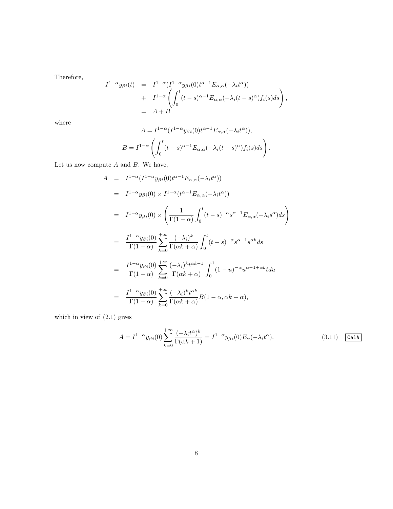Therefore,

$$
I^{1-\alpha}y_{\beta i}(t) = I^{1-\alpha}(I^{1-\alpha}y_{\beta i}(0)t^{\alpha-1}E_{\alpha,\alpha}(-\lambda_i t^{\alpha}))
$$
  
+ 
$$
I^{1-\alpha}\left(\int_0^t (t-s)^{\alpha-1}E_{\alpha,\alpha}(-\lambda_i (t-s)^{\alpha})f_i(s)ds\right),
$$
  
= 
$$
A+B
$$

where

$$
A = I^{1-\alpha}(I^{1-\alpha}y_{\beta i}(0)t^{\alpha-1}E_{\alpha,\alpha}(-\lambda_i t^{\alpha})),
$$
  

$$
B = I^{1-\alpha}\left(\int_0^t (t-s)^{\alpha-1}E_{\alpha,\alpha}(-\lambda_i(t-s)^{\alpha})f_i(s)ds\right).
$$

Let us now compute  $A$  and  $B$ . We have,

$$
A = I^{1-\alpha}(I^{1-\alpha}y_{\beta i}(0)t^{\alpha-1}E_{\alpha,\alpha}(-\lambda_i t^{\alpha}))
$$
  
\n
$$
= I^{1-\alpha}y_{\beta i}(0) \times I^{1-\alpha}(t^{\alpha-1}E_{\alpha,\alpha}(-\lambda_i t^{\alpha}))
$$
  
\n
$$
= I^{1-\alpha}y_{\beta i}(0) \times \left(\frac{1}{\Gamma(1-\alpha)} \int_0^t (t-s)^{-\alpha} s^{\alpha-1} E_{\alpha,\alpha}(-\lambda_i s^{\alpha}) ds\right)
$$
  
\n
$$
= \frac{I^{1-\alpha}y_{\beta i}(0)}{\Gamma(1-\alpha)} \sum_{k=0}^{+\infty} \frac{(-\lambda_i)^k}{\Gamma(\alpha k+\alpha)} \int_0^t (t-s)^{-\alpha} s^{\alpha-1} s^{\alpha k} ds
$$
  
\n
$$
= \frac{I^{1-\alpha}y_{\beta i}(0)}{\Gamma(1-\alpha)} \sum_{k=0}^{+\infty} \frac{(-\lambda_i)^k t^{\alpha k-1}}{\Gamma(\alpha k+\alpha)} \int_0^1 (1-u)^{-\alpha} u^{\alpha-1+\alpha k} t du
$$
  
\n
$$
= \frac{I^{1-\alpha}y_{\beta i}(0)}{\Gamma(1-\alpha)} \sum_{k=0}^{+\infty} \frac{(-\lambda_i)^k t^{\alpha k}}{\Gamma(\alpha k+\alpha)} B(1-\alpha, \alpha k+\alpha),
$$

which in view of (2.1) gives

$$
A = I^{1-\alpha} y_{\beta i}(0) \sum_{k=0}^{+\infty} \frac{(-\lambda_i t^{\alpha})^k}{\Gamma(\alpha k + 1)} = I^{1-\alpha} y_{\beta i}(0) E_{\alpha}(-\lambda_i t^{\alpha}).
$$
\n(3.11) 
$$
\boxed{\text{CalA}}
$$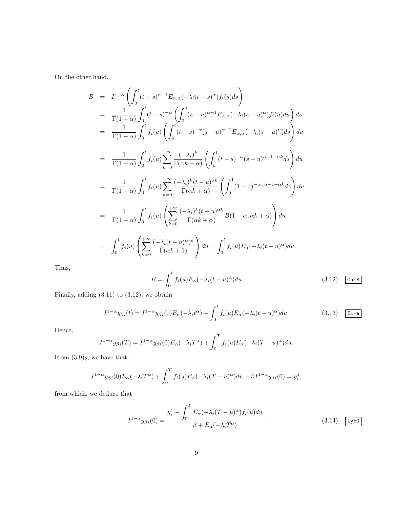On the other hand,

$$
B = I^{1-\alpha} \left( \int_0^t (t-s)^{\alpha-1} E_{\alpha,\alpha}(-\lambda_i(t-s)^{\alpha}) f_i(s) ds \right)
$$
  
\n
$$
= \frac{1}{\Gamma(1-\alpha)} \int_0^t (t-s)^{-\alpha} \left( \int_0^s (s-u)^{\alpha-1} E_{\alpha,\alpha}(-\lambda_i(s-u)^{\alpha}) f_i(u) du \right) ds
$$
  
\n
$$
= \frac{1}{\Gamma(1-\alpha)} \int_0^t f_i(u) \left( \int_u^t (t-s)^{-\alpha} (s-u)^{\alpha-1} E_{\alpha,\alpha}(-\lambda_i(s-u)^{\alpha}) ds \right) du
$$
  
\n
$$
= \frac{1}{\Gamma(1-\alpha)} \int_0^t f_i(u) \sum_{k=0}^{+\infty} \frac{(-\lambda_i)^k}{\Gamma(\alpha k+\alpha)} \left( \int_u^t (t-s)^{-\alpha} (s-u)^{\alpha-1+\alpha k} ds \right) du
$$
  
\n
$$
= \frac{1}{\Gamma(1-\alpha)} \int_0^t f_i(u) \sum_{k=0}^{+\infty} \frac{(-\lambda_i)^k (t-u)^{\alpha k}}{\Gamma(\alpha k+\alpha)} \left( \int_0^1 (1-z)^{-\alpha} z^{\alpha-1+\alpha k} dz \right) du
$$
  
\n
$$
= \frac{1}{\Gamma(1-\alpha)} \int_0^t f_i(u) \left( \sum_{k=0}^{+\infty} \frac{(-\lambda_i)^k (t-u)^{\alpha k}}{\Gamma(\alpha k+\alpha)} B(1-\alpha, \alpha k+\alpha) \right) du
$$
  
\n
$$
= \int_0^t f_i(u) \left( \sum_{k=0}^{+\infty} \frac{(-\lambda_i(t-u)^{\alpha})^k}{\Gamma(\alpha k+1)} \right) du = \int_0^t f_i(u) E_{\alpha}(-\lambda_i(t-u)^{\alpha}) du.
$$

Thus,

$$
B = \int_0^t f_i(u) E_\alpha(-\lambda_i(t-u)^\alpha) du \qquad (3.12) \quad \boxed{\text{CalB}}
$$

Finally, adding  $(3.11)$  to  $(3.12)$ , we obtain

$$
I^{1-\alpha}y_{\beta i}(t) = I^{1-\alpha}y_{\beta i}(0)E_{\alpha}(-\lambda_i t^{\alpha}) + \int_0^t f_i(u)E_{\alpha}(-\lambda_i (t-u)^{\alpha})du.
$$
 (3.13) [11-a]

Hence,

$$
I^{1-\alpha}y_{\beta i}(T) = I^{1-\alpha}y_{\beta i}(0)E_{\alpha}(-\lambda_i T^{\alpha}) + \int_0^T f_i(u)E_{\alpha}(-\lambda_i (T-u)^{\alpha})du.
$$

From  $(3.9)_2$ , we have that,

$$
I^{1-\alpha}y_{\beta i}(0)E_{\alpha}(-\lambda_i T^{\alpha}) + \int_0^T f_i(u)E_{\alpha}(-\lambda_i (T-u)^{\alpha})du + \beta I^{1-\alpha}y_{\beta i}(0) = y_i^1,
$$

from which, we deduce that

$$
I^{1-\alpha}y_{\beta i}(0) = \frac{y_i^1 - \int_0^T E_\alpha(-\lambda_i(T-u)^\alpha)f_i(u)du}{\beta + E_\alpha(-\lambda_i T^\alpha)}.
$$
 (3.14)  $\boxed{\text{Iybo}}$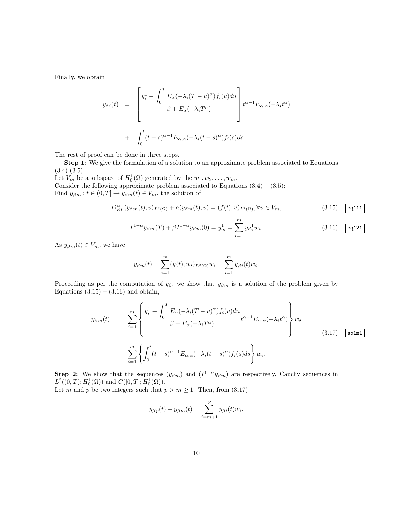Finally, we obtain

$$
y_{\beta i}(t) = \left[ \frac{y_i^1 - \int_0^T E_{\alpha}(-\lambda_i(T-u)^{\alpha})f_i(u)du}{\beta + E_{\alpha}(-\lambda_i T^{\alpha})} \right] t^{\alpha - 1} E_{\alpha,\alpha}(-\lambda_i t^{\alpha})
$$
  
+ 
$$
\int_0^t (t-s)^{\alpha - 1} E_{\alpha,\alpha}(-\lambda_i (t-s)^{\alpha})f_i(s)ds.
$$

The rest of proof can be done in three steps.

Step 1: We give the formulation of a solution to an approximate problem associated to Equations  $(3.4)-(3.5).$ 

Let  $V_m$  be a subspace of  $H_0^1(\Omega)$  generated by the  $w_1, w_2, \ldots, w_m$ . Consider the following approximate problem associated to Equations  $(3.4) - (3.5)$ :

Find  $y_{\beta m}: t \in (0,T] \to y_{\beta m}(t) \in V_m$ , the solution of

$$
D_{RL}^{\alpha}(y_{\beta m}(t),v)_{L^{2}(\Omega)} + a(y_{\beta m}(t),v) = (f(t),v)_{L^{2}(\Omega)}, \forall v \in V_{m},
$$
\n(3.15)  $\boxed{\text{eq111}}$ 

$$
I^{1-\alpha}y_{\beta m}(T) + \beta I^{1-\alpha}y_{\beta m}(0) = y_m^1 = \sum_{i=1}^m y_{\beta i}^1 w_i.
$$
 (3.16)  $\boxed{\text{eq121}}$ 

As  $y_{\beta m}(t) \in V_m$ , we have

$$
y_{\beta m}(t) = \sum_{i=1}^{m} (y(t), w_i)_{L^2(\Omega)} w_i = \sum_{i=1}^{m} y_{\beta i}(t) w_i.
$$

Proceeding as per the computation of  $y_{\beta}$ , we show that  $y_{\beta m}$  is a solution of the problem given by Equations  $(3.15) - (3.16)$  and obtain,

$$
y_{\beta m}(t) = \sum_{i=1}^{m} \left\{ \frac{y_i^1 - \int_0^T E_\alpha(-\lambda_i(T-u)^\alpha) f_i(u) du}{\beta + E_\alpha(-\lambda_i T^\alpha)} t^{\alpha - 1} E_{\alpha,\alpha}(-\lambda_i t^\alpha) \right\} w_i
$$
  
+ 
$$
\sum_{i=1}^{m} \left\{ \int_0^t (t-s)^{\alpha - 1} E_{\alpha,\alpha}(-\lambda_i (t-s)^\alpha) f_i(s) ds \right\} w_i.
$$
 (3.17) [solm1]

Step 2: We show that the sequences  $(y_{\beta m})$  and  $(I^{1-\alpha}y_{\beta m})$  are respectively, Cauchy sequences in  $L^2((0,T); H_0^1(\Omega))$  and  $C([0,T]; H_0^1(\Omega)).$ 

Let m and p be two integers such that  $p > m \ge 1$ . Then, from (3.17)

$$
y_{\beta p}(t) - y_{\beta m}(t) = \sum_{i=m+1}^{p} y_{\beta i}(t) w_i.
$$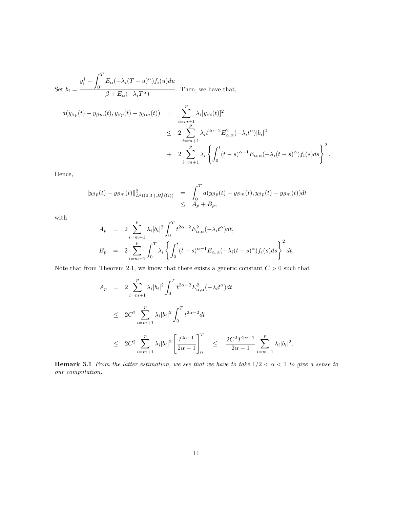Set 
$$
b_i = \frac{y_i^1 - \int_0^T E_{\alpha}(-\lambda_i(T - u)^{\alpha})f_i(u)du}{\beta + E_{\alpha}(-\lambda_i T^{\alpha})}
$$
. Then, we have that,  
\n
$$
a(y_{\beta p}(t) - y_{\beta m}(t), y_{\beta p}(t) - y_{\beta m}(t)) = \sum_{\substack{i=m+1 \ p \ n \neq n}}^p \lambda_i [y_{\beta i}(t)]^2
$$
\n
$$
\leq 2 \sum_{\substack{i=m+1 \ i=m+1}}^p \lambda_i t^{2\alpha - 2} E_{\alpha,\alpha}^2(-\lambda_i t^{\alpha}) |b_i|^2
$$
\n
$$
+ 2 \sum_{i=m+1}^p \lambda_i \left\{ \int_0^t (t-s)^{\alpha - 1} E_{\alpha,\alpha}(-\lambda_i (t-s)^{\alpha}) f_i(s) ds \right\}^2.
$$

Hence,

$$
||y_{\beta p}(t) - y_{\beta m}(t)||_{L^{2}((0,T);H_{0}^{1}(\Omega))}^{2} = \int_{0}^{T} a(y_{\beta p}(t) - y_{\beta m}(t), y_{\beta p}(t) - y_{\beta m}(t))dt
$$
  

$$
\leq A_{p} + B_{p},
$$

with

$$
A_p = 2 \sum_{i=m+1}^p \lambda_i |b_i|^2 \int_0^T t^{2\alpha - 2} E_{\alpha,\alpha}^2(-\lambda_i t^{\alpha}) dt,
$$
  
\n
$$
B_p = 2 \sum_{i=m+1}^p \int_0^T \lambda_i \left\{ \int_0^t (t-s)^{\alpha - 1} E_{\alpha,\alpha}(-\lambda_i (t-s)^{\alpha}) f_i(s) ds \right\}^2 dt.
$$

Note that from Theorem 2.1, we know that there exists a generic constant  $C > 0$  such that

$$
A_p = 2 \sum_{i=m+1}^p \lambda_i |b_i|^2 \int_0^T t^{2\alpha - 2} E_{\alpha,\alpha}^2(-\lambda_i t^{\alpha}) dt
$$
  
\n
$$
\leq 2C^2 \sum_{i=m+1}^p \lambda_i |b_i|^2 \int_0^T t^{2\alpha - 2} dt
$$
  
\n
$$
\leq 2C^2 \sum_{i=m+1}^p \lambda_i |b_i|^2 \left[ \frac{t^{2\alpha - 1}}{2\alpha - 1} \right]_0^T \leq \frac{2C^2 T^{2\alpha - 1}}{2\alpha - 1} \sum_{i=m+1}^p \lambda_i |b_i|^2.
$$

**Remark 3.1** From the latter estimation, we see that we have to take  $1/2 < \alpha < 1$  to give a sense to our computation.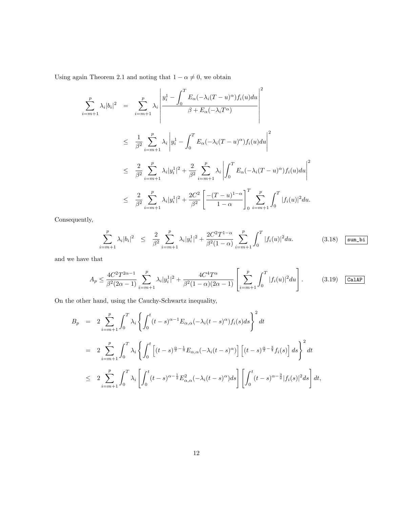Using again Theorem 2.1 and noting that  $1-\alpha\neq 0,$  we obtain

$$
\sum_{i=m+1}^{p} \lambda_{i} |b_{i}|^{2} = \sum_{i=m+1}^{p} \lambda_{i} \left| \frac{y_{i}^{1} - \int_{0}^{T} E_{\alpha}(-\lambda_{i}(T-u)^{\alpha}) f_{i}(u) du}{\beta + E_{\alpha}(-\lambda_{i}T^{\alpha})} \right|^{2}
$$
\n
$$
\leq \frac{1}{\beta^{2}} \sum_{i=m+1}^{p} \lambda_{i} \left| y_{i}^{1} - \int_{0}^{T} E_{\alpha}(-\lambda_{i}(T-u)^{\alpha}) f_{i}(u) du \right|^{2}
$$
\n
$$
\leq \frac{2}{\beta^{2}} \sum_{i=m+1}^{p} \lambda_{i} |y_{i}^{1}|^{2} + \frac{2}{\beta^{2}} \sum_{i=m+1}^{p} \lambda_{i} \left| \int_{0}^{T} E_{\alpha}(-\lambda_{i}(T-u)^{\alpha}) f_{i}(u) du \right|^{2}
$$
\n
$$
\leq \frac{2}{\beta^{2}} \sum_{i=m+1}^{p} \lambda_{i} |y_{i}^{1}|^{2} + \frac{2C^{2}}{\beta^{2}} \left[ \frac{-(T-u)^{1-\alpha}}{1-\alpha} \right]_{0}^{T} \sum_{i=m+1}^{p} \int_{0}^{T} |f_{i}(u)|^{2} du.
$$

Consequently,

$$
\sum_{i=m+1}^{p} \lambda_i |b_i|^2 \leq \frac{2}{\beta^2} \sum_{i=m+1}^{p} \lambda_i |y_i^1|^2 + \frac{2C^2 T^{1-\alpha}}{\beta^2 (1-\alpha)} \sum_{i=m+1}^{p} \int_0^T |f_i(u)|^2 du. \tag{3.18}
$$
  $\boxed{\text{sum\_bi}}$ 

and we have that

$$
A_p \le \frac{4C^2 T^{2\alpha - 1}}{\beta^2 (2\alpha - 1)} \sum_{i=m+1}^p \lambda_i |y_i^1|^2 + \frac{4C^4 T^{\alpha}}{\beta^2 (1 - \alpha)(2\alpha - 1)} \left[ \sum_{i=m+1}^p \int_0^T |f_i(u)|^2 du \right].
$$
 (3.19) **CallAP**

On the other hand, using the Cauchy-Schwartz inequality,

$$
B_p = 2 \sum_{i=m+1}^p \int_0^T \lambda_i \left\{ \int_0^t (t-s)^{\alpha-1} E_{\alpha,\alpha}(-\lambda_i(t-s)^\alpha) f_i(s) ds \right\}^2 dt
$$
  
\n
$$
= 2 \sum_{i=m+1}^p \int_0^T \lambda_i \left\{ \int_0^t \left[ (t-s)^{\frac{\alpha}{2}-\frac{1}{4}} E_{\alpha,\alpha}(-\lambda_i(t-s)^\alpha) \right] \left[ (t-s)^{\frac{\alpha}{2}-\frac{3}{4}} f_i(s) \right] ds \right\}^2 dt
$$
  
\n
$$
\leq 2 \sum_{i=m+1}^p \int_0^T \lambda_i \left[ \int_0^t (t-s)^{\alpha-\frac{1}{2}} E_{\alpha,\alpha}^2(-\lambda_i(t-s)^\alpha) ds \right] \left[ \int_0^t (t-s)^{\alpha-\frac{3}{2}} |f_i(s)|^2 ds \right] dt,
$$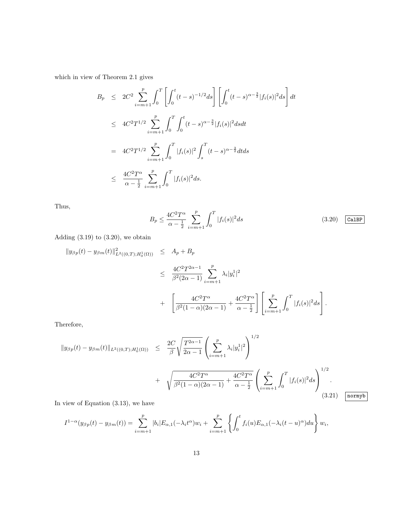which in view of Theorem 2.1 gives

$$
B_p \leq 2C^2 \sum_{i=m+1}^p \int_0^T \left[ \int_0^t (t-s)^{-1/2} ds \right] \left[ \int_0^t (t-s)^{\alpha - \frac{3}{2}} |f_i(s)|^2 ds \right] dt
$$
  
\n
$$
\leq 4C^2 T^{1/2} \sum_{i=m+1}^p \int_0^T \int_0^t (t-s)^{\alpha - \frac{3}{2}} |f_i(s)|^2 ds dt
$$
  
\n
$$
= 4C^2 T^{1/2} \sum_{i=m+1}^p \int_0^T |f_i(s)|^2 \int_s^T (t-s)^{\alpha - \frac{3}{2}} dt ds
$$
  
\n
$$
\leq \frac{4C^2 T^{\alpha}}{\alpha - \frac{1}{2}} \sum_{i=m+1}^p \int_0^T |f_i(s)|^2 ds.
$$

Thus,

$$
B_p \le \frac{4C^2 T^{\alpha}}{\alpha - \frac{1}{2}} \sum_{i=m+1}^p \int_0^T |f_i(s)|^2 ds
$$
 (3.20) Ca1BP

Adding  $(3.19)$  to  $(3.20)$ , we obtain

$$
\|y_{\beta p}(t) - y_{\beta m}(t)\|_{L^{2}((0,T);H_{0}^{1}(\Omega))}^{2} \leq A_{p} + B_{p}
$$
  
\n
$$
\leq \frac{4C^{2}T^{2\alpha-1}}{\beta^{2}(2\alpha-1)} \sum_{i=m+1}^{p} \lambda_{i}|y_{i}^{1}|^{2}
$$
  
\n
$$
+ \left[ \frac{4C^{2}T^{\alpha}}{\beta^{2}(1-\alpha)(2\alpha-1)} + \frac{4C^{2}T^{\alpha}}{\alpha - \frac{1}{2}} \right] \left[ \sum_{i=m+1}^{p} \int_{0}^{T} |f_{i}(s)|^{2} ds \right].
$$

Therefore,

$$
\|y_{\beta p}(t) - y_{\beta m}(t)\|_{L^{2}((0,T);H_{0}^{1}(\Omega))} \leq \frac{2C}{\beta} \sqrt{\frac{T^{2\alpha-1}}{2\alpha-1}} \left(\sum_{i=m+1}^{p} \lambda_{i} |y_{i}^{1}|^{2}\right)^{1/2} + \sqrt{\frac{4C^{2}T^{\alpha}}{\beta^{2}(1-\alpha)(2\alpha-1)} + \frac{4C^{2}T^{\alpha}}{\alpha-\frac{1}{2}}} \left(\sum_{i=m+1}^{p} \int_{0}^{T} |f_{i}(s)|^{2} ds\right)^{1/2}.
$$
\n(3.21)

In view of Equation (3.13), we have

$$
I^{1-\alpha}(y_{\beta p}(t)-y_{\beta m}(t))=\sum_{i=m+1}^p|b_i|E_{\alpha,1}(-\lambda_i t^{\alpha})w_i+\sum_{i=m+1}^p\left\{\int_0^tf_i(u)E_{\alpha,1}(-\lambda_i(t-u)^{\alpha})du\right\}w_i,
$$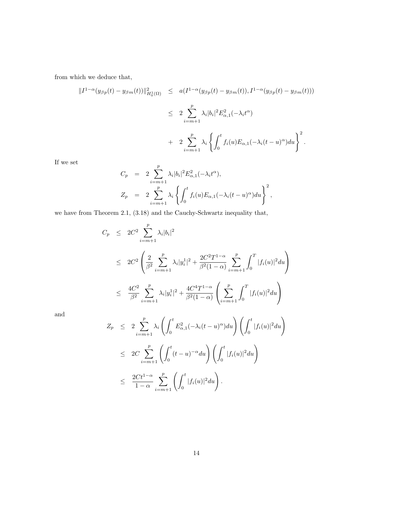from which we deduce that,

$$
\begin{array}{lcl} \displaystyle \| I^{1-\alpha}(y_{\beta p}(t)-y_{\beta m}(t))\|_{H_0^1(\Omega)}^2 & \leq & a(I^{1-\alpha}(y_{\beta p}(t)-y_{\beta m}(t)), I^{1-\alpha}(y_{\beta p}(t)-y_{\beta m}(t))) \\ \\ & \leq & 2\sum_{i=m+1}^p \lambda_i |b_i|^2 E_{\alpha,1}^2(-\lambda_i t^\alpha) \\ & & + & 2\sum_{i=m+1}^p \lambda_i \left\{ \int_0^t f_i(u) E_{\alpha,1}(-\lambda_i (t-u)^\alpha) du \right\}^2. \end{array}
$$

If we set

$$
C_p = 2 \sum_{i=m+1}^p \lambda_i |b_i|^2 E_{\alpha,1}^2(-\lambda_i t^{\alpha}),
$$
  
\n
$$
Z_p = 2 \sum_{i=m+1}^p \lambda_i \left\{ \int_0^t f_i(u) E_{\alpha,1}(-\lambda_i (t-u)^{\alpha}) du \right\}^2,
$$

we have from Theorem 2.1, (3.18) and the Cauchy-Schwartz inequality that,

$$
C_p \leq 2C^2 \sum_{i=m+1}^p \lambda_i |b_i|^2
$$
  
\n
$$
\leq 2C^2 \left( \frac{2}{\beta^2} \sum_{i=m+1}^p \lambda_i |y_i^1|^2 + \frac{2C^2 T^{1-\alpha}}{\beta^2 (1-\alpha)} \sum_{i=m+1}^p \int_0^T |f_i(u)|^2 du \right)
$$
  
\n
$$
\leq \frac{4C^2}{\beta^2} \sum_{i=m+1}^p \lambda_i |y_i^1|^2 + \frac{4C^4 T^{1-\alpha}}{\beta^2 (1-\alpha)} \left( \sum_{i=m+1}^p \int_0^T |f_i(u)|^2 du \right)
$$

and

$$
Z_p \leq 2 \sum_{i=m+1}^p \lambda_i \left( \int_0^t E_{\alpha,1}^2 (-\lambda_i (t-u)^\alpha) du \right) \left( \int_0^t |f_i(u)|^2 du \right)
$$
  

$$
\leq 2C \sum_{i=m+1}^p \left( \int_0^t (t-u)^{-\alpha} du \right) \left( \int_0^t |f_i(u)|^2 du \right)
$$
  

$$
\leq \frac{2Ct^{1-\alpha}}{1-\alpha} \sum_{i=m+1}^p \left( \int_0^t |f_i(u)|^2 du \right).
$$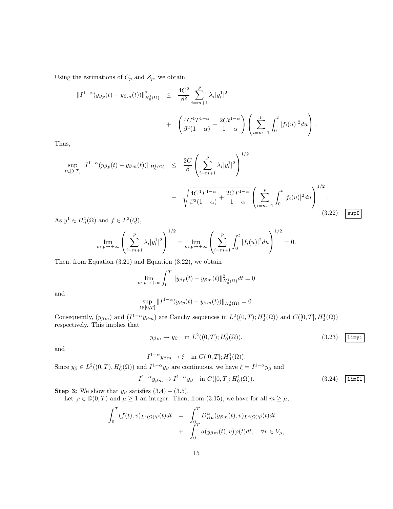Using the estimations of  $C_p$  and  $Z_p$ , we obtain

$$
\begin{aligned}\n\|I^{1-\alpha}(y_{\beta p}(t) - y_{\beta m}(t))\|_{H_0^1(\Omega)}^2 &\leq \frac{4C^2}{\beta^2} \sum_{i=m+1}^p \lambda_i |y_i^1|^2 \\
&\quad + \left(\frac{4C^4 T^{1-\alpha}}{\beta^2 (1-\alpha)} + \frac{2Ct^{1-\alpha}}{1-\alpha}\right) \left(\sum_{i=m+1}^p \int_0^t |f_i(u)|^2 du\right).\n\end{aligned}
$$

Thus,

$$
\sup_{t \in [0,T]} \|I^{1-\alpha}(y_{\beta p}(t) - y_{\beta m}(t))\|_{H_0^1(\Omega)} \leq \frac{2C}{\beta} \left( \sum_{i=m+1}^p \lambda_i |y_i^1|^2 \right)^{1/2} + \sqrt{\frac{4C^4 T^{1-\alpha}}{\beta^2 (1-\alpha)} + \frac{2CT^{1-\alpha}}{1-\alpha}} \left( \sum_{i=m+1}^p \int_0^t |f_i(u)|^2 du \right)^{1/2}.
$$
\n(3.22)  $\boxed{\sup}$ 

As  $y^1 \in H_0^1(\Omega)$  and  $f \in L^2(Q)$ ,

$$
\lim_{m,p \to +\infty} \left( \sum_{i=m+1}^p \lambda_i |y_i^1|^2 \right)^{1/2} = \lim_{m,p \to +\infty} \left( \sum_{i=m+1}^p \int_0^t |f_i(u)|^2 du \right)^{1/2} = 0.
$$

Then, from Equation (3.21) and Equation (3.22), we obtain

$$
\lim_{m,p \to +\infty} \int_0^T \|y_{\beta p}(t) - y_{\beta m}(t)\|_{H_0^1(\Omega)}^2 dt = 0
$$

and

$$
\sup_{t \in [0,T]} \|I^{1-\alpha}(y_{\beta p}(t) - y_{\beta m}(t))\|_{H_0^1(\Omega)} = 0.
$$

Consequently,  $(y_{\beta m})$  and  $(I^{1-\alpha}y_{\beta m})$  are Cauchy sequences in  $L^2((0,T); H_0^1(\Omega))$  and  $C([0,T], H_0^1(\Omega))$ respectively. This implies that

$$
y_{\beta m} \to y_{\beta} \quad \text{in } L^2((0,T); H_0^1(\Omega)), \tag{3.23}
$$

and

$$
I^{1-\alpha}y_{\beta m} \to \xi \quad \text{in } C([0,T]; H_0^1(\Omega)).
$$

Since  $y_{\beta} \in L^2((0,T), H_0^1(\Omega))$  and  $I^{1-\alpha}y_{\beta}$  are continuous, we have  $\xi = I^{1-\alpha}y_{\beta}$  and

$$
I^{1-\alpha}y_{\beta m} \to I^{1-\alpha}y_{\beta} \quad \text{in } C([0,T];H_0^1(\Omega)).\tag{3.24}
$$

**Step 3:** We show that  $y_\beta$  satisfies  $(3.4) - (3.5)$ .

Let  $\varphi \in \mathbb{D}(0,T)$  and  $\mu \geq 1$  an integer. Then, from (3.15), we have for all  $m \geq \mu$ ,

$$
\begin{array}{lcl} \displaystyle \int_0^T (f(t),v)_{L^2(\Omega)}\varphi(t)dt&=&\displaystyle \int_0^T D_{RL}^\alpha(y_{\beta m}(t),v)_{L^2(\Omega)}\varphi(t)dt\\&+&\displaystyle \int_0^T a(y_{\beta m}(t),v)\varphi(t)dt, \quad \forall v\in V_\mu, \end{array}
$$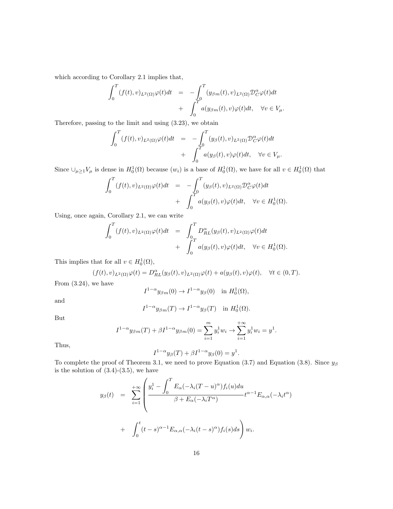which according to Corollary 2.1 implies that,

$$
\int_0^T (f(t), v)_{L^2(\Omega)} \varphi(t) dt = -\int_0^T (y_{\beta m}(t), v)_{L^2(\Omega)} \mathcal{D}_C^{\alpha} \varphi(t) dt \n+ \int_0^T a(y_{\beta m}(t), v) \varphi(t) dt, \quad \forall v \in V_\mu.
$$

Therefore, passing to the limit and using (3.23), we obtain

$$
\int_0^T (f(t), v)_{L^2(\Omega)} \varphi(t) dt = -\int_0^T (y_\beta(t), v)_{L^2(\Omega)} \mathcal{D}_C^\alpha \varphi(t) dt \n+ \int_0^T a(y_\beta(t), v) \varphi(t) dt, \quad \forall v \in V_\mu.
$$

Since  $\cup_{\mu\geq 1}V_{\mu}$  is dense in  $H_0^1(\Omega)$  because  $(w_i)$  is a base of  $H_0^1(\Omega)$ , we have for all  $v \in H_0^1(\Omega)$  that

$$
\int_0^T (f(t), v)_{L^2(\Omega)} \varphi(t) dt = -\int_0^T (y_\beta(t), v)_{L^2(\Omega)} \mathcal{D}_C^\alpha \varphi(t) dt \n+ \int_0^T a(y_\beta(t), v) \varphi(t) dt, \quad \forall v \in H_0^1(\Omega).
$$

Using, once again, Corollary 2.1, we can write

$$
\int_0^T (f(t), v)_{L^2(\Omega)} \varphi(t) dt = \int_0^T D_{RL}^{\alpha}(y_{\beta}(t), v)_{L^2(\Omega)} \varphi(t) dt \n+ \int_0^T a(y_{\beta}(t), v) \varphi(t) dt, \quad \forall v \in H_0^1(\Omega).
$$

This implies that for all  $v \in H_0^1(\Omega)$ ,

$$
(f(t),v)_{L^2(\Omega)}\varphi(t) = D_{RL}^{\alpha}(y_{\beta}(t),v)_{L^2(\Omega)}\varphi(t) + a(y_{\beta}(t),v)\varphi(t), \quad \forall t \in (0,T).
$$

From (3.24), we have

$$
I^{1-\alpha}y_{\beta m}(0) \to I^{1-\alpha}y_{\beta}(0) \quad \text{in } H_0^1(\Omega),
$$

and

$$
I^{1-\alpha}y_{\beta m}(T) \to I^{1-\alpha}y_{\beta}(T)
$$
 in  $H_0^1(\Omega)$ .

But

$$
I^{1-\alpha}y_{\beta m}(T) + \beta I^{1-\alpha}y_{\beta m}(0) = \sum_{i=1}^{m} y_i^1 w_i + \sum_{i=1}^{+\infty} y_i^1 w_i = y^1.
$$

Thus,

$$
I^{1-\alpha}y_{\beta}(T)+\beta I^{1-\alpha}y_{\beta}(0)=y^1.
$$

To complete the proof of Theorem 3.1, we need to prove Equation (3.7) and Equation (3.8). Since  $y_\beta$ is the solution of  $(3.4)-(3.5)$ , we have

$$
y_{\beta}(t) = \sum_{i=1}^{+\infty} \left( \frac{y_i^1 - \int_0^T E_{\alpha}(-\lambda_i(T-u)^{\alpha}) f_i(u) du}{\beta + E_{\alpha}(-\lambda_i T^{\alpha})} t^{\alpha - 1} E_{\alpha,\alpha}(-\lambda_i t^{\alpha}) + \int_0^t (t-s)^{\alpha - 1} E_{\alpha,\alpha}(-\lambda_i (t-s)^{\alpha}) f_i(s) ds \right) w_i.
$$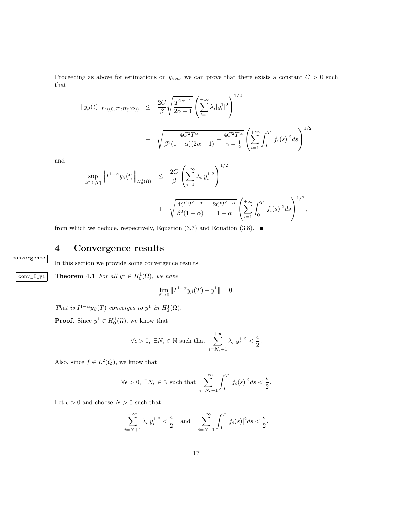Proceeding as above for estimations on  $y_{\beta m}$ , we can prove that there exists a constant  $C > 0$  such that

$$
||y_{\beta}(t)||_{L^{2}((0,T);H_{0}^{1}(\Omega))} \leq \frac{2C}{\beta} \sqrt{\frac{T^{2\alpha-1}}{2\alpha-1}} \left(\sum_{i=1}^{+\infty} \lambda_{i} |y_{i}^{1}|^{2}\right)^{1/2} + \sqrt{\frac{4C^{2}T^{\alpha}}{\beta^{2}(1-\alpha)(2\alpha-1)}} + \frac{4C^{2}T^{\alpha}}{\alpha-\frac{1}{2}} \left(\sum_{i=1}^{+\infty} \int_{0}^{T} |f_{i}(s)|^{2} ds\right)^{1/2}
$$

and

$$
\sup_{t \in [0,T]} \left\| I^{1-\alpha} y_{\beta}(t) \right\|_{H_0^1(\Omega)} \leq \frac{2C}{\beta} \left( \sum_{i=1}^{+\infty} \lambda_i |y_i^1|^2 \right)^{1/2} + \sqrt{\frac{4C^4 T^{1-\alpha}}{\beta^2 (1-\alpha)} + \frac{2CT^{1-\alpha}}{1-\alpha} \left( \sum_{i=1}^{+\infty} \int_0^T |f_i(s)|^2 ds \right)^{1/2},
$$

from which we deduce, respectively, Equation (3.7) and Equation (3.8).  $\blacksquare$ 

# 4 Convergence results

convergence

#### In this section we provide some convergence results.

conv\_I\_y1 Theorem 4.1 For all  $y^1 \\in H_0^1(\Omega)$ , we have

$$
\lim_{\beta \to 0} \|I^{1-\alpha} y_{\beta}(T) - y^1\| = 0.
$$

That is  $I^{1-\alpha}y_{\beta}(T)$  converges to  $y^1$  in  $H_0^1(\Omega)$ .

**Proof.** Since  $y^1 \in H_0^1(\Omega)$ , we know that

$$
\forall \epsilon >0, \ \exists N_{\epsilon} \in \mathbb{N} \text{ such that } \sum_{i=N_{\epsilon}+1}^{+\infty} \lambda_i |y_i^1|^2 < \frac{\epsilon}{2}.
$$

Also, since  $f \in L^2(Q)$ , we know that

$$
\forall \epsilon > 0, \ \exists N_{\epsilon} \in \mathbb{N} \text{ such that } \sum_{i=N_{\epsilon}+1}^{+\infty} \int_{0}^{T} |f_{i}(s)|^{2} ds < \frac{\epsilon}{2}.
$$

Let  $\epsilon > 0$  and choose  $N > 0$  such that

$$
\sum_{i=N+1}^{+\infty} \lambda_i |y_i^1|^2 < \frac{\epsilon}{2} \quad \text{and} \quad \sum_{i=N+1}^{+\infty} \int_0^T |f_i(s)|^2 ds < \frac{\epsilon}{2}.
$$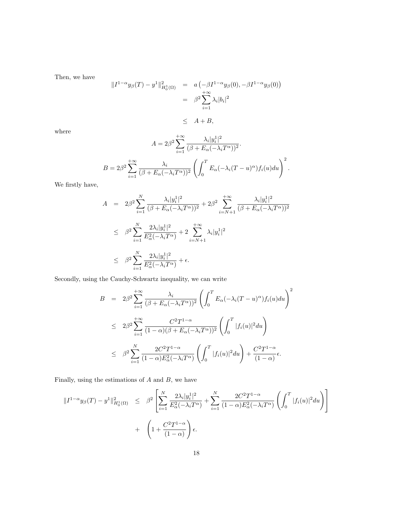Then, we have

 $|$ 

$$
|I^{1-\alpha}y_{\beta}(T) - y^1||^2_{H_0^1(\Omega)} = a(-\beta I^{1-\alpha}y_{\beta}(0), -\beta I^{1-\alpha}y_{\beta}(0))
$$
  
=  $\beta^2 \sum_{i=1}^{+\infty} \lambda_i |b_i|^2$   
 $\leq A + B,$ 

where

$$
A = 2\beta^2 \sum_{i=1}^{+\infty} \frac{\lambda_i |y_i^1|^2}{(\beta + E_\alpha(-\lambda_i T^\alpha))^2}.
$$
  

$$
B = 2\beta^2 \sum_{i=1}^{+\infty} \frac{\lambda_i}{(\beta + E_\alpha(-\lambda_i T^\alpha))^2} \left( \int_0^T E_\alpha(-\lambda_i (T - u)^\alpha) f_i(u) du \right)^2.
$$

We firstly have,

$$
A = 2\beta^2 \sum_{i=1}^N \frac{\lambda_i |y_i^1|^2}{(\beta + E_\alpha(-\lambda_i T^\alpha))^2} + 2\beta^2 \sum_{i=N+1}^{+\infty} \frac{\lambda_i |y_i^1|^2}{(\beta + E_\alpha(-\lambda_i T^\alpha))^2}
$$
  

$$
\leq \beta^2 \sum_{i=1}^N \frac{2\lambda_i |y_i^1|^2}{E_\alpha^2(-\lambda_i T^\alpha)} + 2 \sum_{i=N+1}^{+\infty} \lambda_i |y_i^1|^2
$$
  

$$
\leq \beta^2 \sum_{i=1}^N \frac{2\lambda_i |y_i^1|^2}{E_\alpha^2(-\lambda_i T^\alpha)} + \epsilon.
$$

Secondly, using the Cauchy-Schwartz inequality, we can write

$$
B = 2\beta^2 \sum_{i=1}^{+\infty} \frac{\lambda_i}{(\beta + E_\alpha(-\lambda_i T^\alpha))^2} \left( \int_0^T E_\alpha(-\lambda_i (T - u)^\alpha) f_i(u) du \right)^2
$$
  

$$
\leq 2\beta^2 \sum_{i=1}^{+\infty} \frac{C^2 T^{1-\alpha}}{(1-\alpha)(\beta + E_\alpha(-\lambda_i T^\alpha))^2} \left( \int_0^T |f_i(u)|^2 du \right)
$$
  

$$
\leq \beta^2 \sum_{i=1}^N \frac{2C^2 T^{1-\alpha}}{(1-\alpha)E_\alpha^2(-\lambda_i T^\alpha)} \left( \int_0^T |f_i(u)|^2 du \right) + \frac{C^2 T^{1-\alpha}}{(1-\alpha)} \epsilon.
$$

Finally, using the estimations of  $A$  and  $B$ , we have

$$
||I^{1-\alpha}y_{\beta}(T) - y^{1}||_{H_{0}^{1}(\Omega)}^{2} \leq \beta^{2} \left[ \sum_{i=1}^{N} \frac{2\lambda_{i}|y_{i}^{1}|^{2}}{E_{\alpha}^{2}(-\lambda_{i}T^{\alpha})} + \sum_{i=1}^{N} \frac{2C^{2}T^{1-\alpha}}{(1-\alpha)E_{\alpha}^{2}(-\lambda_{i}T^{\alpha})} \left( \int_{0}^{T} |f_{i}(u)|^{2} du \right) \right] + \left( 1 + \frac{C^{2}T^{1-\alpha}}{(1-\alpha)} \right) \epsilon.
$$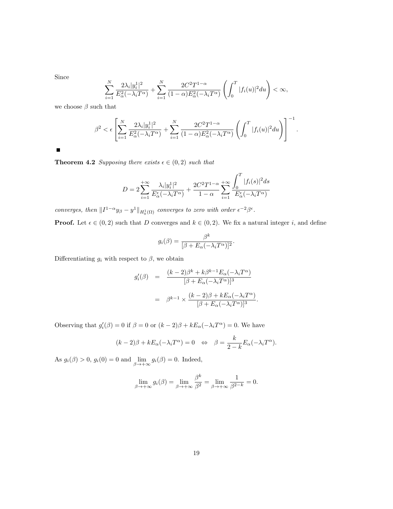Since

$$
\sum_{i=1}^N \frac{2\lambda_i|y_i^1|^2}{E_\alpha^2(-\lambda_i T^\alpha)} + \sum_{i=1}^N \frac{2C^2T^{1-\alpha}}{(1-\alpha)E_\alpha^2(-\lambda_i T^\alpha)} \left(\int_0^T |f_i(u)|^2 du\right) < \infty,
$$

we choose  $\beta$  such that

$$
\beta^2 < \epsilon \left[ \sum_{i=1}^N \frac{2\lambda_i |y_i^1|^2}{E_\alpha^2(-\lambda_i T^\alpha)} + \sum_{i=1}^N \frac{2C^2 T^{1-\alpha}}{(1-\alpha)E_\alpha^2(-\lambda_i T^\alpha)} \left( \int_0^T |f_i(u)|^2 du \right) \right]^{-1}.
$$

 $\blacksquare$ 

**Theorem 4.2** Supposing there exists  $\epsilon \in (0, 2)$  such that

$$
D = 2\sum_{i=1}^{+\infty} \frac{\lambda_i |y_i^1|^2}{E_{\alpha}^{\epsilon}(-\lambda_i T^{\alpha})} + \frac{2C^2 T^{1-\alpha}}{1-\alpha} \sum_{i=1}^{+\infty} \frac{\displaystyle \int_0^T |f_i(s)|^2 ds}{E_{\alpha}^{\epsilon}(-\lambda_i T^{\alpha})}
$$

converges, then  $||I^{1-\alpha}y_{\beta} - y^1||_{H_0^1(\Omega)}$  converges to zero with order  $\epsilon^{-2}\beta^{\epsilon}$ .

**Proof.** Let  $\epsilon \in (0, 2)$  such that D converges and  $k \in (0, 2)$ . We fix a natural integer i, and define

$$
g_i(\beta) = \frac{\beta^k}{[\beta + E_\alpha(-\lambda_i T^\alpha)]^2}.
$$

Differentiating  $g_i$  with respect to  $\beta$ , we obtain

$$
g'_{i}(\beta) = \frac{(k-2)\beta^{k} + k\beta^{k-1}E_{\alpha}(-\lambda_{i}T^{\alpha})}{[\beta + E_{\alpha}(-\lambda_{i}T^{\alpha})]^{3}}
$$

$$
= \beta^{k-1} \times \frac{(k-2)\beta + kE_{\alpha}(-\lambda_{i}T^{\alpha})}{[\beta + E_{\alpha}(-\lambda_{i}T^{\alpha})]^{3}}.
$$

Observing that  $g_i'(\beta) = 0$  if  $\beta = 0$  or  $(k-2)\beta + kE_\alpha(-\lambda_i T^\alpha) = 0$ . We have

$$
(k-2)\beta + kE_{\alpha}(-\lambda_i T^{\alpha}) = 0 \Leftrightarrow \beta = \frac{k}{2-k}E_{\alpha}(-\lambda_i T^{\alpha}).
$$

As  $g_i(\beta) > 0$ ,  $g_i(0) = 0$  and  $\lim_{\beta \to +\infty} g_i(\beta) = 0$ . Indeed,

$$
\lim_{\beta \to +\infty} g_i(\beta) = \lim_{\beta \to +\infty} \frac{\beta^k}{\beta^2} = \lim_{\beta \to +\infty} \frac{1}{\beta^{2-k}} = 0.
$$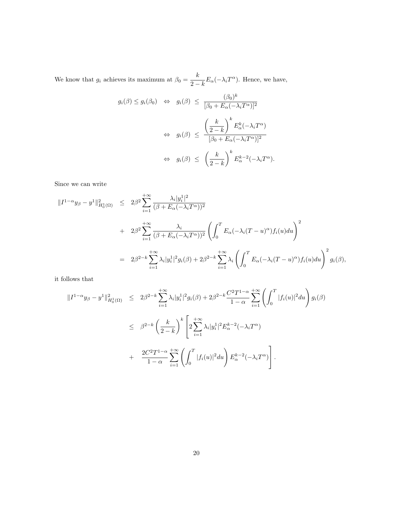We know that  $g_i$  achieves its maximum at  $\beta_0 = \frac{k}{2}$  $\frac{\kappa}{2-k} E_{\alpha}(-\lambda_i T^{\alpha})$ . Hence, we have,

$$
g_i(\beta) \le g_i(\beta_0) \iff g_i(\beta) \le \frac{(\beta_0)^k}{[\beta_0 + E_\alpha(-\lambda_i T^\alpha)]^2}
$$
  

$$
\iff g_i(\beta) \le \frac{\left(\frac{k}{2-k}\right)^k E_\alpha^k (-\lambda_i T^\alpha)}{[\beta_0 + E_\alpha(-\lambda_i T^\alpha)]^2}
$$
  

$$
\iff g_i(\beta) \le \left(\frac{k}{2-k}\right)^k E_\alpha^{k-2} (-\lambda_i T^\alpha).
$$

Since we can write

$$
\begin{split}\n\|I^{1-\alpha}y_{\beta} - y^1\|_{H_0^1(\Omega)}^2 &\leq 2\beta^2 \sum_{i=1}^{+\infty} \frac{\lambda_i |y_i^1|^2}{(\beta + E_\alpha(-\lambda_i T^\alpha))^2} \\
&\quad + 2\beta^2 \sum_{i=1}^{+\infty} \frac{\lambda_i}{(\beta + E_\alpha(-\lambda_i T^\alpha))^2} \left( \int_0^T E_\alpha(-\lambda_i (T - u)^\alpha) f_i(u) du \right)^2 \\
&\leq 2\beta^{2-k} \sum_{i=1}^{+\infty} \lambda_i |y_i^1|^2 g_i(\beta) + 2\beta^{2-k} \sum_{i=1}^{+\infty} \lambda_i \left( \int_0^T E_\alpha(-\lambda_i (T - u)^\alpha) f_i(u) du \right)^2 g_i(\beta),\n\end{split}
$$

it follows that

$$
\begin{split} \|I^{1-\alpha}y_{\beta} - y^1\|_{H_0^1(\Omega)}^2 &\leq 2\beta^{2-k} \sum_{i=1}^{+\infty} \lambda_i |y_i^1|^2 g_i(\beta) + 2\beta^{2-k} \frac{C^2 T^{1-\alpha}}{1-\alpha} \sum_{i=1}^{+\infty} \left( \int_0^T |f_i(u)|^2 du \right) g_i(\beta) \\ &\leq \beta^{2-k} \left( \frac{k}{2-k} \right)^k \left[ 2 \sum_{i=1}^{+\infty} \lambda_i |y_i^1|^2 E_\alpha^{k-2}(-\lambda_i T^\alpha) \right. \\ &\left. + \frac{2C^2 T^{1-\alpha}}{1-\alpha} \sum_{i=1}^{+\infty} \left( \int_0^T |f_i(u)|^2 du \right) E_\alpha^{k-2}(-\lambda_i T^\alpha) \right]. \end{split}
$$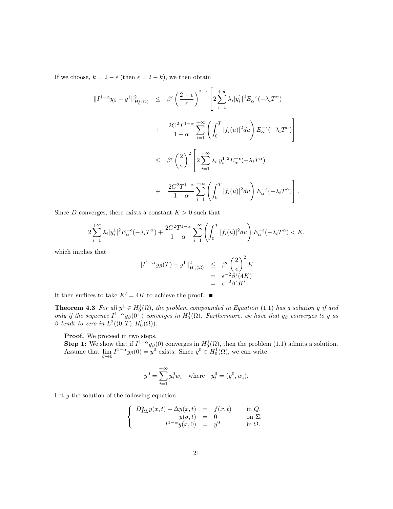If we choose,  $k = 2 - \epsilon$  (then  $\epsilon = 2 - k$ ), we then obtain

$$
\begin{split}\n\|I^{1-\alpha}y_{\beta} - y^1\|_{H_0^1(\Omega)}^2 &\leq \beta^{\epsilon} \left(\frac{2-\epsilon}{\epsilon}\right)^{2-\epsilon} \left[2\sum_{i=1}^{+\infty} \lambda_i |y_i^1|^2 E_{\alpha}^{-\epsilon}(-\lambda_i T^{\alpha})\right. \\
&\quad \left. + \frac{2C^2 T^{1-\alpha}}{1-\alpha} \sum_{i=1}^{+\infty} \left(\int_0^T |f_i(u)|^2 du\right) E_{\alpha}^{-\epsilon}(-\lambda_i T^{\alpha})\right] \\
&\leq \beta^{\epsilon} \left(\frac{2}{\epsilon}\right)^2 \left[2\sum_{i=1}^{+\infty} \lambda_i |y_i^1|^2 E_{\alpha}^{-\epsilon}(-\lambda_i T^{\alpha})\right. \\
&\quad \left. + \frac{2C^2 T^{1-\alpha}}{1-\alpha} \sum_{i=1}^{+\infty} \left(\int_0^T |f_i(u)|^2 du\right) E_{\alpha}^{-\epsilon}(-\lambda_i T^{\alpha})\right].\n\end{split}
$$

Since D converges, there exists a constant  $K > 0$  such that

$$
2\sum_{i=1}^{+\infty}\lambda_i|y_i^1|^2E_\alpha^{-\epsilon}(-\lambda_iT^\alpha)+\frac{2C^2T^{1-\alpha}}{1-\alpha}\sum_{i=1}^{+\infty}\left(\int_0^T|f_i(u)|^2du\right)E_\alpha^{-\epsilon}(-\lambda_iT^\alpha)
$$

which implies that

$$
||I^{1-\alpha}y_{\beta}(T) - y^1||^2_{H_0^1(\Omega)} \leq \beta^{\epsilon} \left(\frac{2}{\epsilon}\right)^2 K
$$
  
=  $\epsilon^{-2} \beta^{\epsilon} (4K)$   
=  $\epsilon^{-2} \beta^{\epsilon} K'.$ 

It then suffices to take  $K'=4K$  to achieve the proof.  $\blacksquare$ 

**Theorem 4.3** For all  $y^1 \in H_0^1(\Omega)$ , the problem compounded in Equation (1.1) has a solution y if and only if the sequence  $I^{1-\alpha}y_\beta(0^+)$  converges in  $H_0^1(\Omega)$ . Furthermore, we have that  $y_\beta$  converges to y as  $\beta$  tends to zero in  $L^2((0,T); H_0^1(\Omega)).$ 

Proof. We proceed in two steps.

**Step 1:** We show that if  $I^{1-\alpha}y_{\beta}(0)$  converges in  $H_0^1(\Omega)$ , then the problem (1.1) admits a solution. Assume that  $\lim_{\beta \to 0} I^{1-\alpha} y_{\beta}(0) = y^0$  exists. Since  $y^0 \in H_0^1(\Omega)$ , we can write

$$
y^0 = \sum_{i=1}^{+\infty} y_i^0 w_i
$$
 where  $y_i^0 = (y^0, w_i)$ .

Let  $y$  the solution of the following equation

$$
\begin{cases}\nD_{RL}^{\alpha}y(x,t) - \Delta y(x,t) &= f(x,t) \quad \text{in } Q, \\
y(\sigma, t) &= 0 \quad \text{on } \Sigma, \\
I^{1-\alpha}y(x,0) &= y^0 \quad \text{in } \Omega.\n\end{cases}
$$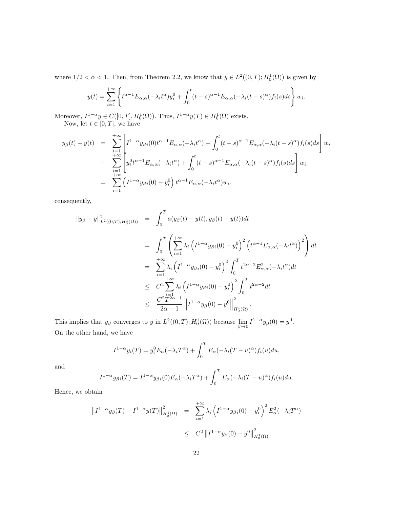where  $1/2 < \alpha < 1$ . Then, from Theorem 2.2, we know that  $y \in L^2((0,T); H_0^1(\Omega))$  is given by

$$
y(t) = \sum_{i=1}^{+\infty} \left\{ t^{\alpha-1} E_{\alpha,\alpha}(-\lambda_i t^{\alpha}) y_i^0 + \int_0^t (t-s)^{\alpha-1} E_{\alpha,\alpha}(-\lambda_i (t-s)^{\alpha}) f_i(s) ds \right\} w_i.
$$

Moreover,  $I^{1-\alpha}y \in C([0,T], H_0^1(\Omega))$ . Thus,  $I^{1-\alpha}y(T) \in H_0^1(\Omega)$  exists. Now, let  $t \in [0, T]$ , we have

$$
y_{\beta}(t) - y(t) = \sum_{\substack{i=1 \ i \to \infty}}^{+\infty} \left[ I^{1-\alpha} y_{\beta i}(0) t^{\alpha-1} E_{\alpha,\alpha}(-\lambda_i t^{\alpha}) + \int_0^t (t-s)^{\alpha-1} E_{\alpha,\alpha}(-\lambda_i (t-s)^{\alpha}) f_i(s) ds \right] w_i
$$
  
- 
$$
\sum_{\substack{i=1 \ i \to \infty}}^{+\infty} \left[ y_i^0 t^{\alpha-1} E_{\alpha,\alpha}(-\lambda_i t^{\alpha}) + \int_0^t (t-s)^{\alpha-1} E_{\alpha,\alpha}(-\lambda_i (t-s)^{\alpha}) f_i(s) ds \right] w_i
$$
  
= 
$$
\sum_{i=1}^{+\infty} \left( I^{1-\alpha} y_{\beta i}(0) - y_i^0 \right) t^{\alpha-1} E_{\alpha,\alpha}(-\lambda_i t^{\alpha}) w_i.
$$

consequently,

$$
\|y_{\beta} - y\|_{L^{2}((0,T),H_{0}^{1}(\Omega))}^{2} = \int_{0}^{T} a(y_{\beta}(t) - y(t), y_{\beta}(t) - y(t))dt
$$
  
\n
$$
= \int_{0}^{T} \left( \sum_{i=1}^{+\infty} \lambda_{i} \left( I^{1-\alpha} y_{\beta i}(0) - y_{i}^{0} \right)^{2} \left( t^{\alpha-1} E_{\alpha,\alpha}(-\lambda_{i} t^{\alpha}) \right)^{2} \right) dt
$$
  
\n
$$
= \sum_{i=1}^{+\infty} \lambda_{i} \left( I^{1-\alpha} y_{\beta i}(0) - y_{i}^{0} \right)^{2} \int_{0}^{T} t^{2\alpha-2} E_{\alpha,\alpha}^{2}(-\lambda_{i} t^{\alpha}) dt
$$
  
\n
$$
\leq C^{2} \sum_{i=1}^{+\infty} \lambda_{i} \left( I^{1-\alpha} y_{\beta i}(0) - y_{i}^{0} \right)^{2} \int_{0}^{T} t^{2\alpha-2} dt
$$
  
\n
$$
\leq \frac{C^{2} T^{2\alpha-1}}{2\alpha - 1} \| I^{1-\alpha} y_{\beta}(0) - y^{0} \|_{H_{0}^{1}(\Omega)}^{2}.
$$

This implies that  $y_{\beta}$  converges to y in  $L^2((0,T); H_0^1(\Omega))$  because  $\lim_{\beta \to 0} I^{1-\alpha} y_{\beta}(0) = y^0$ . On the other hand, we have

$$
I^{1-\alpha}y_i(T) = y_i^0 E_\alpha(-\lambda_i T^\alpha) + \int_0^T E_\alpha(-\lambda_i (T-u)^\alpha) f_i(u) du,
$$

and

$$
I^{1-\alpha}y_{\beta i}(T) = I^{1-\alpha}y_{\beta i}(0)E_{\alpha}(-\lambda_i T^{\alpha}) + \int_0^T E_{\alpha}(-\lambda_i (T-u)^{\alpha})f_i(u)du.
$$

Hence, we obtain

$$
||I^{1-\alpha}y_{\beta}(T) - I^{1-\alpha}y(T)||_{H_0^1(\Omega)}^2 = \sum_{i=1}^{+\infty} \lambda_i \left( I^{1-\alpha}y_{\beta i}(0) - y_i^0 \right)^2 E_{\alpha}^2(-\lambda_i T^{\alpha})
$$
  

$$
\leq C^2 ||I^{1-\alpha}y_{\beta}(0) - y^0||_{H_0^1(\Omega)}^2.
$$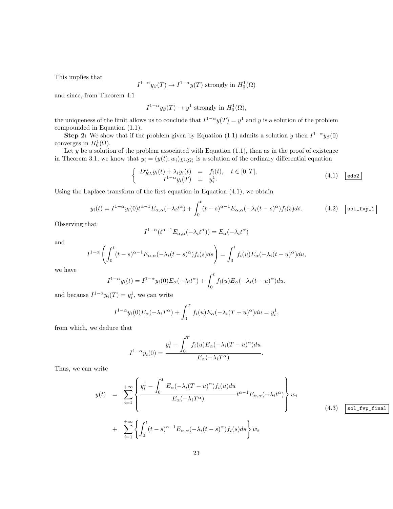This implies that

$$
I^{1-\alpha}y_{\beta}(T) \to I^{1-\alpha}y(T)
$$
 strongly in  $H_0^1(\Omega)$ 

and since, from Theorem 4.1

$$
I^{1-\alpha}y_{\beta}(T) \to y^1
$$
 strongly in  $H_0^1(\Omega)$ ,

the uniqueness of the limit allows us to conclude that  $I^{1-\alpha}y(T) = y^1$  and y is a solution of the problem compounded in Equation (1.1).

**Step 2:** We show that if the problem given by Equation (1.1) admits a solution y then  $I^{1-\alpha}y_\beta(0)$ converges in  $H_0^1(\Omega)$ .

Let  $y$  be a solution of the problem associated with Equation  $(1.1)$ , then as in the proof of existence in Theorem 3.1, we know that  $y_i = (y(t), w_i)_{L^2(\Omega)}$  is a solution of the ordinary differential equation

$$
\begin{cases}\nD_{RL}^{\alpha}y_i(t) + \lambda_i y_i(t) = f_i(t), \quad t \in [0, T], \\
I^{1-\alpha}y_i(T) = y_i^1.\n\end{cases}
$$
\n(4.1)  $\boxed{\text{edo2}}$ 

Using the Laplace transform of the first equation in Equation (4.1), we obtain

$$
y_i(t) = I^{1-\alpha} y_i(0) t^{\alpha-1} E_{\alpha,\alpha}(-\lambda_i t^{\alpha}) + \int_0^t (t-s)^{\alpha-1} E_{\alpha,\alpha}(-\lambda_i (t-s)^{\alpha}) f_i(s) ds.
$$
 (4.2) **so1\_fv-1**

Observing that

$$
I^{1-\alpha}(t^{\alpha-1}E_{\alpha,\alpha}(-\lambda_i t^{\alpha})) = E_{\alpha}(-\lambda_i t^{\alpha})
$$

and

$$
I^{1-\alpha}\left(\int_0^t (t-s)^{\alpha-1}E_{\alpha,\alpha}(-\lambda_i(t-s)^\alpha)f_i(s)ds\right)=\int_0^t f_i(u)E_\alpha(-\lambda_i(t-u)^\alpha)du,
$$

we have

$$
I^{1-\alpha}y_i(t) = I^{1-\alpha}y_i(0)E_\alpha(-\lambda_i t^\alpha) + \int_0^t f_i(u)E_\alpha(-\lambda_i (t-u)^\alpha)du.
$$

and because  $I^{1-\alpha}y_i(T) = y_i^1$ , we can write

$$
I^{1-\alpha}y_i(0)E_\alpha(-\lambda_i T^\alpha) + \int_0^T f_i(u)E_\alpha(-\lambda_i (T-u)^\alpha)du = y_i^1,
$$

from which, we deduce that

$$
I^{1-\alpha}y_i(0) = \frac{y_i^1 - \int_0^T f_i(u)E_\alpha(-\lambda_i(T-u)^\alpha)du}{E_\alpha(-\lambda_i T^\alpha)}.
$$

Thus, we can write

$$
y(t) = \sum_{i=1}^{+\infty} \left\{ \frac{y_i^1 - \int_0^T E_\alpha(-\lambda_i(T-u)^\alpha) f_i(u) du}{E_\alpha(-\lambda_i T^\alpha)} t^{\alpha-1} E_{\alpha,\alpha}(-\lambda_i t^\alpha) \right\} w_i
$$
  
+ 
$$
\sum_{i=1}^{+\infty} \left\{ \int_0^t (t-s)^{\alpha-1} E_{\alpha,\alpha}(-\lambda_i (t-s)^\alpha) f_i(s) ds \right\} w_i
$$
(4.3) 
$$
\boxed{\text{sol\_fvp\_final}}
$$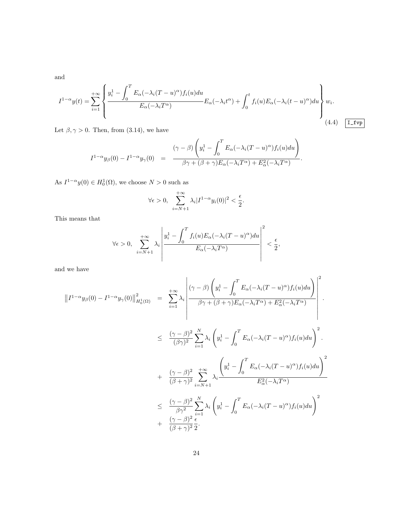and

$$
I^{1-\alpha}y(t) = \sum_{i=1}^{+\infty} \left\{ \frac{y_i^1 - \int_0^T E_\alpha(-\lambda_i(T-u)^\alpha) f_i(u) du}{E_\alpha(-\lambda_i T^\alpha)} E_\alpha(-\lambda_i t^\alpha) + \int_0^t f_i(u) E_\alpha(-\lambda_i (t-u)^\alpha) du \right\} w_i.
$$
\n(4.4) [I<sub>-</sub>try]

Let  $\beta, \gamma > 0$ . Then, from (3.14), we have

$$
I^{1-\alpha}y_{\beta}(0) - I^{1-\alpha}y_{\gamma}(0) = \frac{(\gamma-\beta)\left(y_i^1 - \int_0^T E_{\alpha}(-\lambda_i(T-u)^{\alpha})f_i(u)du\right)}{\beta\gamma + (\beta+\gamma)E_{\alpha}(-\lambda_iT^{\alpha}) + E_{\alpha}^2(-\lambda_iT^{\alpha})}.
$$

As  $I^{1-\alpha}y(0) \in H_0^1(\Omega)$ , we choose  $N > 0$  such as

$$
\forall \epsilon > 0, \sum_{i=N+1}^{+\infty} \lambda_i |I^{1-\alpha} y_i(0)|^2 < \frac{\epsilon}{2}.
$$

This means that

$$
\forall \epsilon > 0, \sum_{i=N+1}^{+\infty} \lambda_i \left| \frac{y_i^1 - \int_0^T f_i(u) E_\alpha(-\lambda_i (T-u)^\alpha) du}{E_\alpha(-\lambda_i T^\alpha)} \right|^2 < \frac{\epsilon}{2},
$$

and we have

$$
\|I^{1-\alpha}y_{\beta}(0) - I^{1-\alpha}y_{\gamma}(0)\|_{H_0^1(\Omega)}^2 = \sum_{i=1}^{+\infty} \lambda_i \left| \frac{(\gamma - \beta) \left(y_i^1 - \int_0^T E_{\alpha}(-\lambda_i (T - u)^{\alpha}) f_i(u) du\right)}{\beta \gamma + (\beta + \gamma) E_{\alpha}(-\lambda_i T^{\alpha}) + E_{\alpha}^2(-\lambda_i T^{\alpha})} \right|^2.
$$
  

$$
\leq \frac{(\gamma - \beta)^2}{(\beta \gamma)^2} \sum_{i=1}^N \lambda_i \left(y_i^1 - \int_0^T E_{\alpha}(-\lambda_i (T - u)^{\alpha}) f_i(u) du\right)^2.
$$
  

$$
+ \frac{(\gamma - \beta)^2}{(\beta + \gamma)^2} \sum_{i=N+1}^{+\infty} \lambda_i \frac{\left(y_i^1 - \int_0^T E_{\alpha}(-\lambda_i (T - u)^{\alpha}) f_i(u) du\right)^2}{E_{\alpha}^2(-\lambda_i T^{\alpha})}
$$
  

$$
\leq \frac{(\gamma - \beta)^2}{\beta \gamma^2} \sum_{i=1}^N \lambda_i \left(y_i^1 - \int_0^T E_{\alpha}(-\lambda_i (T - u)^{\alpha}) f_i(u) du\right)^2
$$
  

$$
+ \frac{(\gamma - \beta)^2}{(\beta + \gamma)^2} \frac{\epsilon}{2}.
$$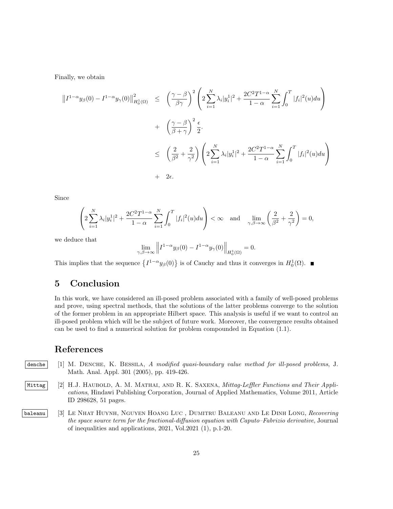Finally, we obtain

$$
\begin{split} ||I^{1-\alpha}y_{\beta}(0) - I^{1-\alpha}y_{\gamma}(0)||_{H_0^1(\Omega)}^2 &\leq \left(\frac{\gamma - \beta}{\beta\gamma}\right)^2 \left(2\sum_{i=1}^N \lambda_i |y_i^1|^2 + \frac{2C^2 T^{1-\alpha}}{1-\alpha} \sum_{i=1}^N \int_0^T |f_i|^2(u) du\right) \\ &+ \left(\frac{\gamma - \beta}{\beta + \gamma}\right)^2 \frac{\epsilon}{2} .\\ &\leq \left(\frac{2}{\beta^2} + \frac{2}{\gamma^2}\right) \left(2\sum_{i=1}^N \lambda_i |y_i^1|^2 + \frac{2C^2 T^{1-\alpha}}{1-\alpha} \sum_{i=1}^N \int_0^T |f_i|^2(u) du\right) \\ &+ 2\epsilon. \end{split}
$$

Since

$$
\left(2\sum_{i=1}^{N}\lambda_{i}|y_{i}^{1}|^{2}+\frac{2C^{2}T^{1-\alpha}}{1-\alpha}\sum_{i=1}^{N}\int_{0}^{T}|f_{i}|^{2}(u)du\right)<\infty \text{ and } \lim_{\gamma,\beta\to\infty}\left(\frac{2}{\beta^{2}}+\frac{2}{\gamma^{2}}\right)=0,
$$

we deduce that

$$
\lim_{\gamma,\beta\to\infty}\left\|I^{1-\alpha}y_{\beta}(0)-I^{1-\alpha}y_{\gamma}(0)\right\|_{H_0^1(\Omega)}=0.
$$

This implies that the sequence  $\{I^{1-\alpha}y_{\beta}(0)\}\$ is of Cauchy and thus it converges in  $H_0^1(\Omega)$ .

# 5 Conclusion

In this work, we have considered an ill-posed problem associated with a family of well-posed problems and prove, using spectral methods, that the solutions of the latter problems converge to the solution of the former problem in an appropriate Hilbert space. This analysis is useful if we want to control an ill-posed problem which will be the subject of future work. Moreover, the convergence results obtained can be used to find a numerical solution for problem compounded in Equation (1.1).

## References

- denche [1] M. DENCHE, K. BESSILA, A modified quasi-boundary value method for ill-posed problems, J. Math. Anal. Appl. 301 (2005), pp. 419-426.
- Mittag [2] H.J. HAUBOLD, A. M. MATHAI, AND R. K. SAXENA, Mittag-Leffler Functions and Their Applications, Hindawi Publishing Corporation, Journal of Applied Mathematics, Volume 2011, Article ID 298628, 51 pages.
- baleanu [3] LE NHAT HUYNH, NGUYEN HOANG LUC, DUMITRU BALEANU AND LE DINH LONG, Recovering the space source term for the fractional-diffusion equation with Caputo–Fabrizio derivative, Journal of inequalities and applications, 2021, Vol.2021 (1), p.1-20.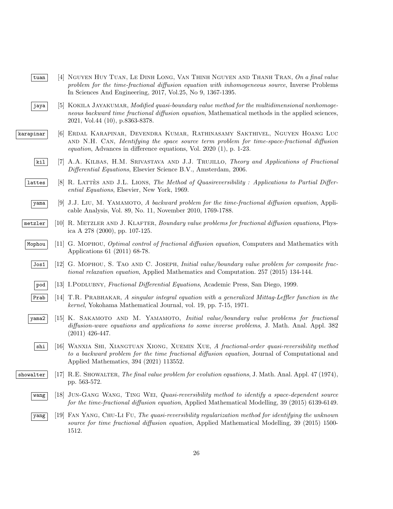- tuan [4] NGUYEN HUY TUAN, LE DINH LONG, VAN THINH NGUYEN AND THANH TRAN, On a final value problem for the time-fractional diffusion equation with inhomogeneous source, Inverse Problems In Sciences And Engineering, 2017, Vol.25, No 9, 1367-1395.
- jaya [5] KOKILA JAYAKUMAR, Modified quasi-boundary value method for the multidimensional nonhomogeneous backward time fractional diffusion equation, Mathematical methods in the applied sciences, 2021, Vol.44 (10), p.8363-8378.
- karapinar | 6 ERDAL KARAPINAR, DEVENDRA KUMAR, RATHINASAMY SAKTHIVEL, NGUYEN HOANG LUC and N.H. Can, Identifying the space source term problem for time-space-fractional diffusion equation, Advances in difference equations, Vol. 2020 (1), p. 1-23.
	- kil [7] A.A. KILBAS, H.M. SRIVASTAVA AND J.J. TRUJILLO, Theory and Applications of Fractional Differential Equations, Elsevier Science B.V., Amsterdam, 2006.
	- lattes [8] R. LATTÈS AND J.L. LIONS, The Method of Quasireversibility : Applications to Partial Differential Equations, Elsevier, New York, 1969.
		- $\overline{y}$  yama [9] J.J. Liu, M. YAMAMOTO, A backward problem for the time-fractional diffusion equation, Applicable Analysis, Vol. 89, No. 11, November 2010, 1769-1788.
	- $m$ etzler [10] R. METZLER AND J. KLAFTER, Boundary value problems for fractional diffusion equations, Physica A 278 (2000), pp. 107-125.
	- Mophou [11] G. MOPHOU, *Optimal control of fractional diffusion equation*, Computers and Mathematics with Applications 61 (2011) 68-78.
		- Jos1 [12] G. Mophou, S. Tao and C. Joseph, Initial value/boundary value problem for composite fractional relaxation equation, Applied Mathematics and Computation. 257 (2015) 134-144.
		- pod [13] I.Podlubny, Fractional Differential Equations, Academic Press, San Diego, 1999.
		- Prab [14] T.R. Prabhakar, A singular integral equation with a generalized Mittag-Leffler function in the kernel, Yokohama Mathematical Journal, vol. 19, pp. 7-15, 1971.
	- yama2 [15] K. SAKAMOTO AND M. YAMAMOTO, *Initial value/boundary value problems for fractional* diffusion-wave equations and applications to some inverse problems, J. Math. Anal. Appl. 382 (2011) 426-447.
		- shi [16] Wanxia Shi, Xiangtuan Xiong, Xuemin Xue, A fractional-order quasi-reversibility method to a backward problem for the time fractional diffusion equation, Journal of Computational and Applied Mathematics, 394 (2021) 113552.
- showalter [17] R.E. SHOWALTER, The final value problem for evolution equations, J. Math. Anal. Appl. 47 (1974), pp. 563-572.
	- wang [18] JUN-GANG WANG, TING WEI, Quasi-reversibility method to identify a space-dependent source for the time-fractional diffusion equation, Applied Mathematical Modelling, 39 (2015) 6139-6149.
	- yang [19] Fan Yang, Chu-Li Fu, The quasi-reversibility regularization method for identifying the unknown source for time fractional diffusion equation, Applied Mathematical Modelling, 39 (2015) 1500-1512.